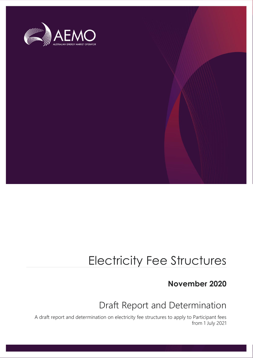

# Electricity Fee Structures

## **November 2020**

## Draft Report and Determination

A draft report and determination on electricity fee structures to apply to Participant fees from 1 July 2021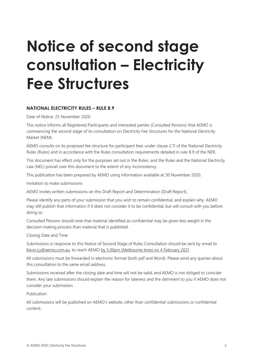# **Notice of second stage consultation – Electricity Fee Structures**

#### **NATIONAL ELECTRICITY RULES – RULE 8.9**

Date of Notice: 25 November 2020

This notice informs all Registered Participants and interested parties (Consulted Persons) that AEMO is commencing the second stage of its consultation on Electricity Fee Structures for the National Electricity Market (NEM).

AEMO consults on its proposed fee structure for participant fees under clause 2.11 of the National Electricity Rules (Rules) and in accordance with the Rules consultation requirements detailed in rule 8.9 of the NER.

This document has effect only for the purposes set out in the Rules; and the Rules and the National Electricity Law (NEL) prevail over this document to the extent of any inconsistency.

This publication has been prepared by AEMO using information available at 30 November 2020.

Invitation to make submissions

AEMO invites written submissions on this Draft Report and Determination (Draft Report).

Please identify any parts of your submission that you wish to remain confidential, and explain why. AEMO may still publish that information if it does not consider it to be confidential, but will consult with you before doing so.

Consulted Persons should note that material identified as confidential may be given less weight in the decision-making process than material that is published.

Closing Date and Time

Submissions in response to this Notice of Second Stage of Rules Consultation should be sent by email to Kevin.Ly@aemo.com.au, to reach AEMO by 5.00pm (Melbourne time) on 4 February 2021.

All submissions must be forwarded in electronic format (both pdf and Word). Please send any queries about this consultation to the same email address.

Submissions received after the closing date and time will not be valid, and AEMO is not obliged to consider them. Any late submissions should explain the reason for lateness and the detriment to you if AEMO does not consider your submission.

Publication

All submissions will be published on AEMO's website, other than confidential submissions or confidential content.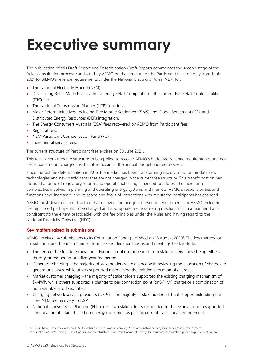# <span id="page-2-0"></span>**Executive summary**

The publication of this Draft Report and Determination (Draft Report) commences the second stage of the Rules consultation process conducted by AEMO on the structure of the Participant fees to apply from 1 July 2021 for AEMO's revenue requirements under the National Electricity Rules (NER) for:

- The National Electricity Market (NEM).
- Developing Retail Markets and administering Retail Competition the current Full Retail Contestability (FRC) fee.
- The National Transmission Planner (NTP) functions.
- Major Reform Initiatives, including Five Minute Settlement (5MS) and Global Settlement (GS), and Distributed Energy Resources (DER) integration.
- The Energy Consumers Australia (ECA) fees recovered by AEMO from Participant fees.
- Registrations.
- NEM Participant Compensation Fund (PCF).
- Incremental service fees.

The current structure of Participant fees expires on 30 June 2021.

This review considers the structure to be applied to recover AEMO's budgeted revenue requirements, and not the actual amount charged, as the latter occurs in the annual budget and fee process.

Since the last fee determination in 2016, the market has been transforming rapidly to accommodate new technologies and new participants that are not charged in the current fee structure. This transformation has included a range of regulatory reform and operational changes needed to address the increasing complexities involved in planning and operating energy systems and markets. AEMO's responsibilities and functions have increased, and its scope and focus of interactions with registered participants has changed.

AEMO must develop a fee structure that recovers the budgeted revenue requirements for AEMO including the registered participants to be charged and appropriate metrics/pricing mechanisms, in a manner that is consistent (to the extent practicable) with the fee principles under the Rules and having regard to the National Electricity Objective (NEO).

#### **Key matters raised in submissions**

AEMO received 14 submissions to its Consultation Paper published on 18 August 2020<sup>1</sup>. The key matters for consultation, and the main themes from stakeholder submissions and meetings held, include:

- The term of the fee determination two main options appeared from stakeholders, these being either a three-year fee period or a five-year fee period.
- Generator charging the majority of stakeholders were aligned with reviewing the allocation of charges to generator classes, while others supported maintaining the existing allocation of charges.
- Market customer charging the majority of stakeholders supported the existing charging mechanism of \$/MWh, while others supported a change to per connection point (or \$/NMI) charge or a combination of both variable and fixed rates.
- Charging network service providers (NSPs) the majority of stakeholders did not support extending the core NEM fee recovery to NSPs.
- National Transmission Planning (NTP) fee two stakeholders responded to this issue and both supported continuation of a tariff based on energy consumed as per the current transitional arrangement.

<sup>1</sup> The Consultation Paper available on AEMO's website at: https://aemo.com.au/-/media/files/stakeholder\_consultation/consultations/nemconsultations/2020/electricity-market-participant-fee-structure-review/final-aemo-electricity-fee-structure-consultation-paper\_aug-2020.pdf?la=en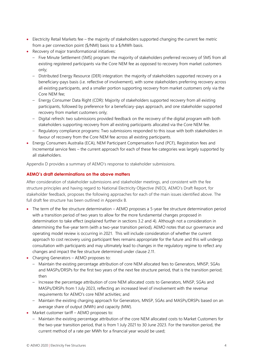- Electricity Retail Markets fee the majority of stakeholders supported changing the current fee metric from a per connection point (\$/NMI) basis to a \$/MWh basis.
- Recovery of major transformational initiatives:
	- Five Minute Settlement (5MS) program: the majority of stakeholders preferred recovery of 5MS from all existing registered participants via the Core NEM fee as opposed to recovery from market customers only;
	- Distributed Energy Resource (DER) integration: the majority of stakeholders supported recovery on a beneficiary-pays basis (i.e. reflective of involvement), with some stakeholders preferring recovery across all existing participants, and a smaller portion supporting recovery from market customers only via the Core NEM fee;
	- Energy Consumer Data Right (CDR): Majority of stakeholders supported recovery from all existing participants, followed by preference for a beneficiary-pays approach, and one stakeholder supported recovery from market customers only;
	- Digital refresh: two submissions provided feedback on the recovery of the digital program with both stakeholders supporting recovery from all existing participants allocated via the Core NEM fee.
	- Regulatory compliance programs: Two submissions responded to this issue with both stakeholders in favour of recovery from the Core NEM fee across all existing participants.
- Energy Consumers Australia (ECA), NEM Participant Compensation Fund (PCF), Registration fees and Incremental service fees – the current approach for each of these fee categories was largely supported by all stakeholders.

Appendix D provides a summary of AEMO's response to stakeholder submissions.

#### **AEMO's draft determinations on the above matters**

After consideration of stakeholder submissions and stakeholder meetings, and consistent with the fee structure principles and having regard to National Electricity Objective (NEO), AEMO's Draft Report, for stakeholder feedback, proposes the following approaches for each of the main issues identified above. The full draft fee structure has been outlined in Appendix B.

- The term of the fee structure determination AEMO proposes a 5-year fee structure determination period with a transition period of two years to allow for the more fundamental changes proposed in determination to take effect (explained further in sections 3.2 and 4). Although not a consideration in determining the five-year term (with a two-year transition period), AEMO notes that our governance and operating model review is occurring in 2021. This will include consideration of whether the current approach to cost recovery using participant fees remains appropriate for the future and this will undergo consultation with participants and may ultimately lead to changes in the regulatory regime to reflect any changes and impact the fee structure determined under clause 2.11.
- Charging Generators AEMO proposes to:
	- Maintain the existing percentage attribution of core NEM allocated fees to Generators, MNSP, SGAs and MASPs/DRSPs for the first two years of the next fee structure period, that is the transition period; then
	- Increase the percentage attribution of core NEM allocated costs to Generators, MNSP, SGAs and MASPs/DRSPs from 1 July 2023, reflecting an increased level of involvement with the revenue requirements for AEMO's core NEM activities; and
	- Maintain the existing charging approach for Generators, MNSP, SGAs and MASPs/DRSPs based on an average share of output (MWh) and capacity (MW).
- Market customer tariff AEMO proposes to:
	- Maintain the existing percentage attribution of the core NEM allocated costs to Market Customers for the two-year transition period, that is from 1 July 2021 to 30 June 2023. For the transition period, the current method of a rate per MWh for a financial year would be used;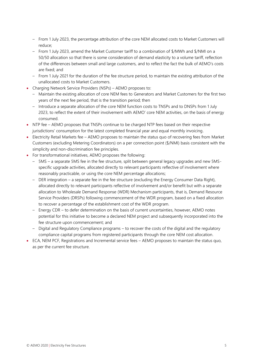- From 1 July 2023, the percentage attribution of the core NEM allocated costs to Market Customers will reduce;
- From 1 July 2023, amend the Market Customer tariff to a combination of \$/MWh and \$/NMI on a 50/50 allocation so that there is some consideration of demand elasticity to a volume tariff, reflection of the differences between small and large customers, and to reflect the fact the bulk of AEMO's costs are fixed; and
- From 1 July 2021 for the duration of the fee structure period, to maintain the existing attribution of the unallocated costs to Market Customers.
- Charging Network Service Providers (NSPs) AEMO proposes to:
	- Maintain the existing allocation of core NEM fees to Generators and Market Customers for the first two years of the next fee period, that is the transition period; then
	- Introduce a separate allocation of the core NEM function costs to TNSPs and to DNSPs from 1 July 2023, to reflect the extent of their involvement with AEMO' core NEM activities, on the basis of energy consumed.
- NTP fee AEMO proposes that TNSPs continue to be charged NTP fees based on their respective jurisdictions' consumption for the latest completed financial year and equal monthly invoicing.
- Electricity Retail Markets fee AEMO proposes to maintain the status quo of recovering fees from Market Customers (excluding Metering Coordinators) on a per connection point (\$/NMI) basis consistent with the simplicity and non-discrimination fee principles.
- For transformational initiatives, AEMO proposes the following:
	- 5MS a separate 5MS fee in the fee structure, split between general legacy upgrades and new 5MSspecific upgrade activities, allocated directly to relevant participants reflective of involvement where reasonably practicable, or using the core NEM percentage allocations;
	- DER integration a separate fee in the fee structure (excluding the Energy Consumer Data Right), allocated directly to relevant participants reflective of involvement and/or benefit but with a separate allocation to Wholesale Demand Response (WDR) Mechanism participants, that is, Demand Resource Service Providers (DRSPs) following commencement of the WDR program, based on a fixed allocation to recover a percentage of the establishment cost of the WDR program.
	- Energy CDR to defer determination on the basis of current uncertainties, however, AEMO notes potential for this initiative to become a declared NEM project and subsequently incorporated into the fee structure upon commencement; and
	- Digital and Regulatory Compliance programs to recover the costs of the digital and the regulatory compliance capital programs from registered participants through the core NEM cost allocation.
- ECA, NEM PCF, Registrations and Incremental service fees AEMO proposes to maintain the status quo, as per the current fee structure.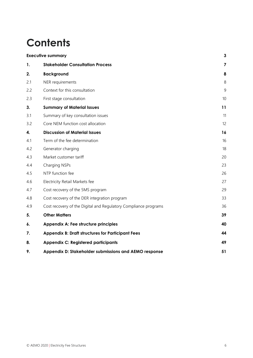## **Contents**

|     | <b>Executive summary</b>                                        |                         |  |  |
|-----|-----------------------------------------------------------------|-------------------------|--|--|
| 1.  | <b>Stakeholder Consultation Process</b>                         | $\overline{\mathbf{z}}$ |  |  |
| 2.  | <b>Background</b>                                               | 8                       |  |  |
| 2.1 | NER requirements                                                | 8                       |  |  |
| 2.2 | Context for this consultation                                   | 9                       |  |  |
| 2.3 | First stage consultation                                        | 10                      |  |  |
| 3.  | <b>Summary of Material Issues</b>                               | 11                      |  |  |
| 3.1 | Summary of key consultation issues                              | 11                      |  |  |
| 3.2 | Core NEM function cost allocation                               | 12                      |  |  |
| 4.  | <b>Discussion of Material Issues</b>                            | 16                      |  |  |
| 4.1 | Term of the fee determination                                   | 16                      |  |  |
| 4.2 | Generator charging                                              | 18                      |  |  |
| 4.3 | Market customer tariff                                          | 20                      |  |  |
| 4.4 | Charging NSPs                                                   | 23                      |  |  |
| 4.5 | NTP function fee                                                | 26                      |  |  |
| 4.6 | Electricity Retail Markets fee                                  | 27                      |  |  |
| 4.7 | Cost recovery of the 5MS program                                | 29                      |  |  |
| 4.8 | Cost recovery of the DER integration program                    | 33                      |  |  |
| 4.9 | Cost recovery of the Digital and Regulatory Compliance programs | 36                      |  |  |
| 5.  | <b>Other Matters</b>                                            | 39                      |  |  |
| 6.  | Appendix A: Fee structure principles                            | 40                      |  |  |
| 7.  | <b>Appendix B: Draft structures for Participant Fees</b>        | 44                      |  |  |
| 8.  | <b>Appendix C: Registered participants</b>                      | 49                      |  |  |
| 9.  | Appendix D: Stakeholder submissions and AEMO response           | 51                      |  |  |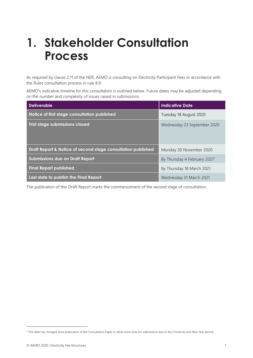# <span id="page-6-0"></span>**1. Stakeholder Consultation Process**

As required by clause 2.11 of the NER, AEMO is consulting on Electricity Participant Fees in accordance with the Rules consultation process in rule 8.9.

AEMO's indicative timeline for this consultation is outlined below. Future dates may be adjusted depending on the number and complexity of issues raised in submissions.

| <b>Deliverable</b>                                           | <b>Indicative Date</b>                   |
|--------------------------------------------------------------|------------------------------------------|
| Notice of first stage consultation published                 | Tuesday 18 August 2020                   |
| Frist stage submissions closed                               | Wednesday 23 September 2020              |
| Draft Report & Notice of second stage consultation published | Monday 30 November 2020                  |
| <b>Submissions due on Draft Report</b>                       | By Thursday 4 February 2021 <sup>2</sup> |
| <b>Final Report published</b>                                | By Thursday 18 March 2021                |
| Last date to publish the Final Report                        | Wednesday 31 March 2021                  |

The publication of this Draft Report marks the commencement of the second stage of consultation.

<sup>&</sup>lt;sup>2</sup> This date has changed since publication of the Consultation Paper to allow more time for submissions due to the Christmas and New Year period.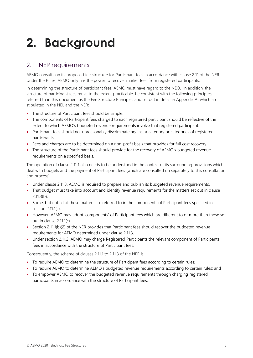# <span id="page-7-0"></span>**2. Background**

## <span id="page-7-1"></span>2.1 NER requirements

AEMO consults on its proposed fee structure for Participant fees in accordance with clause 2.11 of the NER. Under the Rules, AEMO only has the power to recover market fees from registered participants.

In determining the structure of participant fees, AEMO must have regard to the NEO. In addition, the structure of participant fees must, to the extent practicable, be consistent with the following principles, referred to in this document as the Fee Structure Principles and set out in detail in Appendix A, which are stipulated in the NEL and the NER:

- The structure of Participant fees should be simple.
- The components of Participant fees charged to each registered participant should be reflective of the extent to which AEMO's budgeted revenue requirements involve that registered participant.
- Participant fees should not unreasonably discriminate against a category or categories of registered participants.
- Fees and charges are to be determined on a non-profit basis that provides for full cost recovery.
- The structure of the Participant fees should provide for the recovery of AEMO's budgeted revenue requirements on a specified basis.

The operation of clause 2.11.1 also needs to be understood in the context of its surrounding provisions which deal with budgets and the payment of Participant fees (which are consulted on separately to this consultation and process):

- Under clause 2.11.3, AEMO is required to prepare and publish its budgeted revenue requirements.
- That budget must take into account and identify revenue requirements for the matters set out in clause 2.11.3(b).
- Some, but not all of these matters are referred to in the components of Participant fees specified in section  $2.111(c)$ .
- However, AEMO may adopt 'components' of Participant fees which are different to or more than those set out in clause 2.11.1(c).
- Section 2.11.1(b)(2) of the NER provides that Participant fees should recover the budgeted revenue requirements for AEMO determined under clause 2.11.3.
- Under section 2.11.2, AEMO may charge Registered Participants the relevant component of Participants fees in accordance with the structure of Participant fees.

Consequently, the scheme of clauses 2.11.1 to 2.11.3 of the NER is:

- To require AEMO to determine the structure of Participant fees according to certain rules;
- To require AEMO to determine AEMO's budgeted revenue requirements according to certain rules; and
- To empower AEMO to recover the budgeted revenue requirements through charging registered participants in accordance with the structure of Participant fees.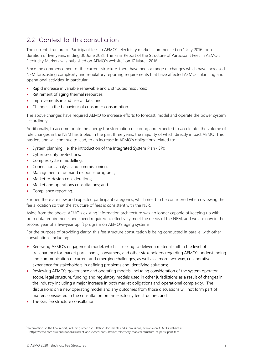## <span id="page-8-0"></span>2.2 Context for this consultation

The current structure of Participant fees in AEMO's electricity markets commenced on 1 July 2016 for a duration of five years, ending 30 June 2021. The Final Report of the Structure of Participant Fees in AEMO's Electricity Markets was published on AEMO's website<sup>3</sup> on 17 March 2016.

Since the commencement of the current structure, there have been a range of changes which have increased NEM forecasting complexity and regulatory reporting requirements that have affected AEMO's planning and operational activities, in particular:

- Rapid increase in variable renewable and distributed resources;
- Retirement of aging thermal resources;
- Improvements in and use of data; and
- Changes in the behaviour of consumer consumption.

The above changes have required AEMO to increase efforts to forecast, model and operate the power system accordingly.

Additionally, to accommodate the energy transformation occurring and expected to accelerate, the volume of rule changes in the NEM has tripled in the past three years, the majority of which directly impact AEMO. This has led, and will continue to lead, to an increase in AEMO's obligations related to:

- System planning, i.e. the introduction of the Integrated System Plan (ISP);
- Cyber security protections;
- Complex system modelling;
- Connections analysis and commissioning;
- Management of demand response programs;
- Market re-design considerations;
- Market and operations consultations; and
- Compliance reporting.

Further, there are new and expected participant categories, which need to be considered when reviewing the fee allocation so that the structure of fees is consistent with the NER.

Aside from the above, AEMO's existing information architecture was no longer capable of keeping up with both data requirements and speed required to effectively meet the needs of the NEM, and we are now in the second year of a five-year uplift program on AEMO's aging systems.

For the purpose of providing clarity, this fee structure consultation is being conducted in parallel with other consultations including:

- Renewing AEMO's engagement model, which is seeking to deliver a material shift in the level of transparency for market participants, consumers, and other stakeholders regarding AEMO's understanding and communication of current and emerging challenges, as well as a more two-way, collaborative experience for stakeholders in defining problems and identifying solutions;
- Reviewing AEMO's governance and operating models, including consideration of the system operator scope, legal structure, funding and regulatory models used in other jurisdictions as a result of changes in the industry including a major increase in both market obligations and operational complexity. The discussions on a new operating model and any outcomes from those discussions will not form part of matters considered in the consultation on the electricity fee structure; and
- The Gas fee structure consultation.

<sup>&</sup>lt;sup>3</sup> Information on the final report, including other consultation documents and submissions, available on AEMO's website at: https://aemo.com.au/consultations/current-and-closed-consultations/electricity-markets-structure-of-participant-fees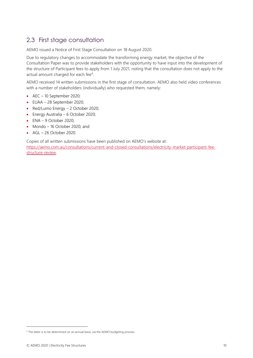## <span id="page-9-0"></span>2.3 First stage consultation

AEMO issued a Notice of First Stage Consultation on 18 August 2020.

Due to regulatory changes to accommodate the transforming energy market, the objective of the Consultation Paper was to provide stakeholders with the opportunity to have input into the development of the structure of Participant fees to apply from 1 July 2021, noting that the consultation does not apply to the actual amount charged for each fee<sup>4</sup>.

AEMO received 14 written submissions in the first stage of consultation. AEMO also held video conferences with a number of stakeholders (individually) who requested them, namely:

- AEC 10 September 2020;
- EUAA 28 September 2020;
- Red/Lumo Energy 2 October 2020;
- Energy Australia 6 October 2020;
- $\bullet$  ENA 9 October 2020;
- Mondo 16 October 2020; and
- $\bullet$  AGL 26 October 2020.

Copies of all written submissions have been published on AEMO's website at:

[https://aemo.com.au/consultations/current-and-closed-consultations/electricity-market-participant-fee](https://aemo.com.au/consultations/current-and-closed-consultations/electricity-market-participant-fee-structure-review)[structure-review.](https://aemo.com.au/consultations/current-and-closed-consultations/electricity-market-participant-fee-structure-review)

<sup>&</sup>lt;sup>4</sup> The latter is to be determined on an annual basis, via the AEMO budgeting process.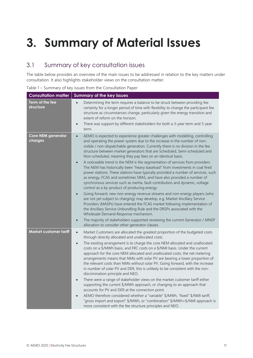# <span id="page-10-0"></span>**3. Summary of Material Issues**

## <span id="page-10-1"></span>3.1 Summary of key consultation issues

The table below provides an overview of the main issues to be addressed in relation to the key matters under consultation. It also highlights stakeholder views on the consultation matter.

Table 1 – Summary of key issues from the Consultation Paper

| <b>Consultation matter</b>           | <b>Summary of the key issues</b>                                                                                                                                                                                                                                                                                                                                                                                                                                                                                                                                                                                                                                                                                                                                                                                                                                                                                                                                                                                                                                                                                                                                                                                                                                                                                                                                                                                  |  |  |  |
|--------------------------------------|-------------------------------------------------------------------------------------------------------------------------------------------------------------------------------------------------------------------------------------------------------------------------------------------------------------------------------------------------------------------------------------------------------------------------------------------------------------------------------------------------------------------------------------------------------------------------------------------------------------------------------------------------------------------------------------------------------------------------------------------------------------------------------------------------------------------------------------------------------------------------------------------------------------------------------------------------------------------------------------------------------------------------------------------------------------------------------------------------------------------------------------------------------------------------------------------------------------------------------------------------------------------------------------------------------------------------------------------------------------------------------------------------------------------|--|--|--|
| Term of the fee<br>structure         | Determining the term requires a balance to be struck between providing fee<br>$\bullet$<br>certainty for a longer period of time with flexibility to change the participant fee<br>structure as circumstances change, particularly given the energy transition and<br>extent of reform on the horizon.<br>There was support by different stakeholders for both a 3-year term and 5-year<br>$\bullet$<br>term.                                                                                                                                                                                                                                                                                                                                                                                                                                                                                                                                                                                                                                                                                                                                                                                                                                                                                                                                                                                                     |  |  |  |
| <b>Core NEM generator</b><br>charges | AEMO is expected to experience greater challenges with modelling, controlling<br>$\bullet$<br>and operating the power system due to the increase in the number of non-<br>visible / non-dispatchable generation. Currently there is no division in the fee<br>structure between market generators that are Scheduled, Semi-scheduled and<br>Non-scheduled, meaning they pay fees on an identical basis.<br>A noticeable trend in the NEM is the segmentation of services from providers.<br>$\bullet$<br>The NEM has historically been "heavy baseload" from investments in coal fired<br>power stations. These stations have typically provided a number of services, such<br>as energy, FCAS and sometimes SRAS, and have also provided a number of<br>synchronous services such as inertia, fault contribution and dynamic, voltage<br>control as a by-product of producing energy.<br>Going forward, new non-energy revenue streams and non-energy players (who<br>$\bullet$<br>are not yet subject to charging) may develop, e.g. Market Ancillary Service<br>Providers (MASPs) have entered the FCAS market following implementation of<br>the Ancillary Service Unbundling Rule and the DRSPs associated with the<br>Wholesale Demand Response mechanism.<br>The majority of stakeholders supported reviewing the current Generator / MNSP<br>$\bullet$<br>allocation to consider other generator classes. |  |  |  |
| <b>Market customer tariff</b>        | Market Customers are allocated the greatest proportion of the budgeted costs<br>$\bullet$<br>through directly allocated and unallocated costs.<br>The existing arrangement is to charge the core NEM allocated and unallocated<br>$\bullet$<br>costs on a \$/MWh basis, and FRC costs on a \$/NMI basis. Under the current<br>approach for the core NEM allocated and unallocated costs, the net metering<br>arrangements means that NMIs with solar PV are bearing a lower proportion of<br>the relevant costs than NMIs without solar PV. Going forward, with the increase<br>in number of solar PV and DER, this is unlikely to be consistent with the non-<br>discrimination principle and NEO.<br>There were a range of stakeholder views on the market customer tariff either<br>$\bullet$<br>supporting the current \$/MWh approach, or changing to an approach that<br>accounts for PV and DER at the connection point.<br>AEMO therefore considered whether a "variable" \$/MWh, "fixed" \$/NMI tariff,<br>$\bullet$<br>"gross import and export" \$/MWh, or "combination" \$/MWh+\$/NMI approach is<br>more consistent with the fee structure principles and NEO.                                                                                                                                                                                                                                       |  |  |  |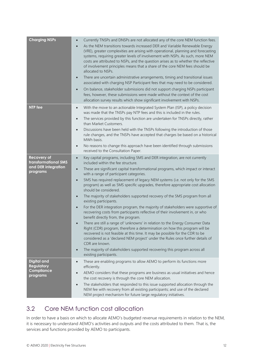| <b>Charging NSPs</b>                                                          | Currently TNSPs and DNSPs are not allocated any of the core NEM function fees.<br>$\bullet$<br>As the NEM transitions towards increased DER and Variable Renewable Energy<br>(VRE), greater complexities are arising with operational, planning and forecasting<br>systems, requiring greater levels of involvement with NSPs. As such, more NEM<br>costs are attributed to NSPs, and the question arises as to whether the reflective<br>of involvement principles means that a share of the core NEM fees should be<br>allocated to NSPs.<br>There are uncertain administrative arrangements, timing and transitional issues<br>$\bullet$<br>associated with charging NSP Participant fees that may need to be considered.<br>On balance, stakeholder submissions did not support charging NSPs participant<br>$\bullet$<br>fees, however, these submissions were made without the context of the cost<br>allocation survey results which show significant involvement with NSPs.                                                                                                                                                                                                                                                                                                                                      |
|-------------------------------------------------------------------------------|--------------------------------------------------------------------------------------------------------------------------------------------------------------------------------------------------------------------------------------------------------------------------------------------------------------------------------------------------------------------------------------------------------------------------------------------------------------------------------------------------------------------------------------------------------------------------------------------------------------------------------------------------------------------------------------------------------------------------------------------------------------------------------------------------------------------------------------------------------------------------------------------------------------------------------------------------------------------------------------------------------------------------------------------------------------------------------------------------------------------------------------------------------------------------------------------------------------------------------------------------------------------------------------------------------------------------|
| <b>NTP</b> fee                                                                | With the move to an actionable Integrated System Plan (ISP), a policy decision<br>$\bullet$<br>was made that the TNSPs pay NTP fees and this is included in the rules.<br>The services provided by this function are undertaken for TNSPs directly, rather<br>$\bullet$<br>than Market Customers.<br>Discussions have been held with the TNSPs following the introduction of those<br>$\bullet$<br>rule changes, and the TNSPs have accepted that charges be based on a historical<br>MWh basis.<br>No reasons to change this approach have been identified through submissions<br>$\bullet$<br>received to the Consultation Paper.                                                                                                                                                                                                                                                                                                                                                                                                                                                                                                                                                                                                                                                                                      |
| <b>Recovery of</b><br>transformational 5MS<br>and DER integration<br>programs | Key capital programs, including 5MS and DER integration, are not currently<br>$\bullet$<br>included within the fee structure.<br>These are significant capital transformational programs, which impact or interact<br>$\bullet$<br>with a range of participant categories.<br>5MS has required replacement of legacy NEM systems (i.e. not only for the 5MS<br>$\bullet$<br>program) as well as 5MS specific upgrades, therefore appropriate cost allocation<br>should be considered.<br>The majority of stakeholders supported recovery of the 5MS program from all<br>$\bullet$<br>existing participants.<br>For the DER integration program, the majority of stakeholders were supportive of<br>$\bullet$<br>recovering costs from participants reflective of their involvement in, or who<br>benefit directly from, the program.<br>There are still a range of 'unknowns' in relation to the Energy Consumer Data<br>$\bullet$<br>Right (CDR) program, therefore a determination on how this program will be<br>recovered is not feasible at this time. It may be possible for the CDR to be<br>considered as a 'declared NEM project' under the Rules once further details of<br>CDR are known.<br>The majority of stakeholders supported recovering this program across all<br>$\bullet$<br>existing participants. |
| Digital and<br><b>Regulatory</b><br>Compliance<br>programs                    | These are enabling programs to allow AEMO to perform its functions more<br>$\bullet$<br>efficiently.<br>AEMO considers that these programs are business as usual initiatives and hence<br>the cost recovery is through the core NEM allocation.<br>The stakeholders that responded to this issue supported allocation through the<br>$\bullet$<br>NEM fee with recovery from all existing participants; and use of the declared<br>NEM project mechanism for future large regulatory initiatives.                                                                                                                                                                                                                                                                                                                                                                                                                                                                                                                                                                                                                                                                                                                                                                                                                        |

## <span id="page-11-0"></span>3.2 Core NEM function cost allocation

In order to have a basis on which to allocate AEMO's budgeted revenue requirements in relation to the NEM, it is necessary to understand AEMO's activities and outputs and the costs attributed to them. That is, the services and functions provided by AEMO to participants.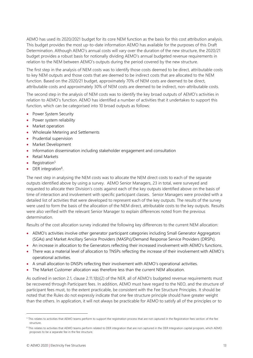AEMO has used its 2020/2021 budget for its core NEM function as the basis for this cost attribution analysis. This budget provides the most up-to-date information AEMO has available for the purposes of this Draft Determination. Although AEMO's annual costs will vary over the duration of the new structure, the 2020/21 budget provides a robust basis for notionally dividing AEMO's annual budgeted revenue requirements in relation to the NEM between AEMO's outputs during the period covered by the new structure.

The first step in the analysis of NEM costs was to identify those costs deemed to be direct, attributable costs to key NEM outputs and those costs that are deemed to be indirect costs that are allocated to the NEM function. Based on the 2020/21 budget, approximately 70% of NEM costs are deemed to be direct, attributable costs and approximately 30% of NEM costs are deemed to be indirect, non-attributable costs.

The second step in the analysis of NEM costs was to identify the key broad outputs of AEMO's activities in relation to AEMO's function. AEMO has identified a number of activities that it undertakes to support this function, which can be categorised into 10 broad outputs as follows:

- Power System Security
- Power system reliability
- Market operation
- Wholesale Metering and Settlements
- Prudential supervision
- Market Development
- Information dissemination including stakeholder engagement and consultation
- Retail Markets
- Registration $5$
- DER integration<sup>6</sup>.

The next step in analysing the NEM costs was to allocate the NEM direct costs to each of the separate outputs identified above by using a survey. AEMO Senior Managers, 23 in total, were surveyed and requested to allocate their Division's costs against each of the key outputs identified above on the basis of time of interaction and involvement with specific participant classes. Senior Managers were provided with a detailed list of activities that were developed to represent each of the key outputs. The results of the survey were used to form the basis of the allocation of the NEM direct, attributable costs to the key outputs. Results were also verified with the relevant Senior Manager to explain differences noted from the previous determination.

Results of the cost allocation survey indicated the following key differences to the current NEM allocation:

- AEMO's activities involve other generator participant categories including Small Generator Aggregators (SGAs) and Market Ancillary Service Providers (MASPs)/Demand Response Service Providers (DRSPs).
- An increase in allocation to the Generators reflecting their increased involvement with AEMO's functions.
- There was a material level of allocation to TNSPs reflecting the increase of their involvement with AEMO's operational activities.
- A small allocation to DNSPs reflecting their involvement with AEMO's operational activities.
- The Market Customer allocation was therefore less than the current NEM allocation.

As outlined in section 2.1, clause 2.11.1(b)(2) of the NER, all of AEMO's budgeted revenue requirements must be recovered through Participant fees. In addition, AEMO must have regard to the NEO, and the structure of participant fees must, to the extent practicable, be consistent with the Fee Structure Principles. It should be noted that the Rules do not expressly indicate that one fee structure principle should have greater weight than the others. In application, it will not always be practicable for AEMO to satisfy all of the principles or to

<sup>&</sup>lt;sup>5</sup> This relates to activities that AEMO teams perform to support the registration process that are not captured in the Registration fees section of the fee structure.

<sup>6</sup> This relates to activities that AEMO teams perform related to DER integration that are not captured in the DER Integration capital program, which AEMO proposes to be a separate fee in the fee structure.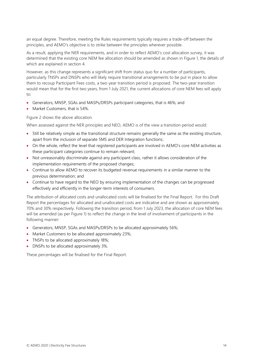an equal degree. Therefore, meeting the Rules requirements typically requires a trade-off between the principles, and AEMO's objective is to strike between the principles wherever possible.

As a result, applying the NER requirements, and in order to reflect AEMO's cost allocation survey, it was determined that the existing core NEM fee allocation should be amended as shown in Figure 1, the details of which are explained in section 4.

However, as this change represents a significant shift from status quo for a number of participants, particularly TNSPs and DNSPs who will likely require transitional arrangements to be put in place to allow them to recoup Participant Fees costs, a two-year transition period is proposed. The two-year transition would mean that for the first two years, from 1 July 2021, the current allocations of core NEM fees will apply to:

- Generators, MNSP, SGAs and MASPs/DRSPs participant categories, that is 46%; and
- Market Customers, that is 54%.

Figure 2 shows the above allocation.

When assessed against the NER principles and NEO, AEMO is of the view a transition period would:

- Still be relatively simple as the transitional structure remains generally the same as the existing structure, apart from the inclusion of separate 5MS and DER Integration functions;
- On the whole, reflect the level that registered participants are involved in AEMO's core NEM activities as these participant categories continue to remain relevant;
- Not unreasonably discriminate against any participant class, rather it allows consideration of the implementation requirements of the proposed changes;
- Continue to allow AEMO to recover its budgeted revenue requirements in a similar manner to the previous determination; and
- Continue to have regard to the NEO by ensuring implementation of the changes can be progressed effectively and efficiently in the longer-term interests of consumers.

The attribution of allocated costs and unallocated costs will be finalised for the Final Report. For this Draft Report the percentages for allocated and unallocated costs are indicative and are shown as approximately 70% and 30% respectively. Following the transition period, from 1 July 2023, the allocation of core NEM fees will be amended (as per Figure 1) to reflect the change in the level of involvement of participants in the following manner:

- Generators, MNSP, SGAs and MASPs/DRSPs to be allocated approximately 56%;
- Market Customers to be allocated approximately 23%;
- TNSPs to be allocated approximately 18%;
- DNSPs to be allocated approximately 3%.

These percentages will be finalised for the Final Report.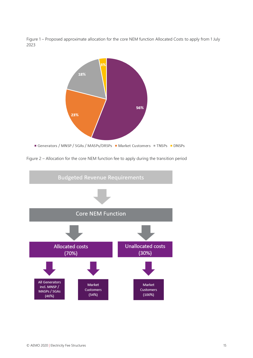Figure 1 – Proposed approximate allocation for the core NEM function Allocated Costs to apply from 1 July 2023



Figure 2 – Allocation for the core NEM function fee to apply during the transition period

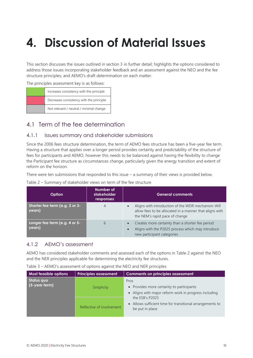# <span id="page-15-0"></span>**4. Discussion of Material Issues**

This section discusses the issues outlined in section 3 in further detail; highlights the options considered to address those issues incorporating stakeholder feedback and an assessment against the NEO and the fee structure principles; and AEMO's draft determination on each matter.

The principles assessment key is as follows:

| Increases consistency with the principle |
|------------------------------------------|
| Decreases consistency with the principle |
| Not relevant / neutral / minimal change  |

## <span id="page-15-1"></span>4.1 Term of the fee determination

#### 4.1.1 Issues summary and stakeholder submissions

Since the 2006 fees structure determination, the term of AEMO fees structure has been a five-year fee term. Having a structure that applies over a longer period provides certainty and predictability of the structure of fees for participants and AEMO, however this needs to be balanced against having the flexibility to change the Participant fee structure as circumstances change, particularly given the energy transition and extent of reform on the horizon.

There were ten submissions that responded to this issue – a summary of their views is provided below.

| Table 2 - Summary of stakeholder views on term of the fee structure |  |  |  |  |
|---------------------------------------------------------------------|--|--|--|--|
|---------------------------------------------------------------------|--|--|--|--|

| Option                                   | Number of<br>stakeholder<br>responses | <b>General comments</b>                                                                                                                         |
|------------------------------------------|---------------------------------------|-------------------------------------------------------------------------------------------------------------------------------------------------|
| Shorter fee term (e.g. 2 or 3-<br>years) | 4                                     | Aligns with introduction of the WDR mechanism Will<br>allow fees to be allocated in a manner that aligns with<br>the NEM's rapid pace of change |
| Longer fee term (e.g. 4 or 5-<br>years)  | 6                                     | Creates more certainty than a shorter fee period<br>Aligns with the P2025 process which may introduce<br>new participant categories             |

#### 4.1.2 AEMO's assessment

AEMO has considered stakeholder comments and assessed each of the options in Table 2 against the NEO and the NER principles applicable for determining the electricity fee structures.

| Table 3 - AEMO's assessment of options against the NEO and NER principles |  |  |  |  |  |  |  |
|---------------------------------------------------------------------------|--|--|--|--|--|--|--|
|---------------------------------------------------------------------------|--|--|--|--|--|--|--|

| Most feasible options          | <b>Principles assessment</b> | <b>Comments on principles assessment</b>                                                                   |
|--------------------------------|------------------------------|------------------------------------------------------------------------------------------------------------|
| Status quo<br>$(5$ -year term) | Simplicity                   | Pros<br>• Provides more certainty to participants<br>• Aligns with major reform work in progress including |
|                                | Reflective of involvement    | the ESB's P2025<br>• Allows sufficient time for transitional arrangements to<br>be put in place            |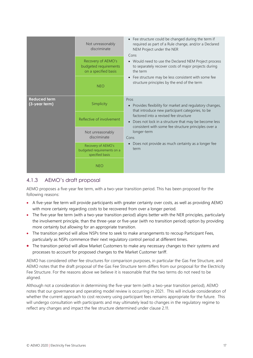|                                      | Not unreasonably<br>discriminate<br>Recovery of AEMO's<br>budgeted requirements<br>on a specified basis<br><b>NEO</b> | • Fee structure could be changed during the term if<br>required as part of a Rule change, and/or a Declared<br>NEM Project under the NER<br>Cons<br>• Would need to use the Declared NEM Project process<br>to separately recover costs of major projects during<br>the term<br>Fee structure may be less consistent with some fee<br>$\bullet$<br>structure principles by the end of the term |
|--------------------------------------|-----------------------------------------------------------------------------------------------------------------------|------------------------------------------------------------------------------------------------------------------------------------------------------------------------------------------------------------------------------------------------------------------------------------------------------------------------------------------------------------------------------------------------|
| <b>Reduced term</b><br>(3-year term) | Simplicity<br>Reflective of involvement                                                                               | Pros<br>Provides flexibility for market and regulatory changes,<br>$\bullet$<br>that introduce new participant categories, to be<br>factored into a revised fee structure                                                                                                                                                                                                                      |
|                                      |                                                                                                                       | Does not lock in a structure that may be become less<br>$\bullet$<br>consistent with some fee structure principles over a<br>longer-term                                                                                                                                                                                                                                                       |
|                                      | Not unreasonably<br>discriminate                                                                                      | Cons                                                                                                                                                                                                                                                                                                                                                                                           |
|                                      | Recovery of AEMO's<br>budgeted requirements on a<br>specified basis                                                   | Does not provide as much certainty as a longer fee<br>$\bullet$<br>term                                                                                                                                                                                                                                                                                                                        |
|                                      | <b>NEO</b>                                                                                                            |                                                                                                                                                                                                                                                                                                                                                                                                |

## 4.1.3 AEMO's draft proposal

AEMO proposes a five-year fee term, with a two-year transition period. This has been proposed for the following reasons:

- A five-year fee term will provide participants with greater certainty over costs, as well as providing AEMO with more certainty regarding costs to be recovered from over a longer period.
- The five-year fee term (with a two-year transition period) aligns better with the NER principles, particularly the involvement principle, than the three-year or five-year (with no transition period) option by providing more certainty but allowing for an appropriate transition.
- The transition period will allow NSPs time to seek to make arrangements to recoup Participant Fees, particularly as NSPs commence their next regulatory control period at different times.
- The transition period will allow Market Customers to make any necessary changes to their systems and processes to account for proposed changes to the Market Customer tariff.

AEMO has considered other fee structures for comparison purposes, in particular the Gas Fee Structure, and AEMO notes that the draft proposal of the Gas Fee Structure term differs from our proposal for the Electricity Fee Structure. For the reasons above we believe it is reasonable that the two terms do not need to be aligned.

Although not a consideration in determining the five-year term (with a two-year transition period), AEMO notes that our governance and operating model review is occurring in 2021. This will include consideration of whether the current approach to cost recovery using participant fees remains appropriate for the future. This will undergo consultation with participants and may ultimately lead to changes in the regulatory regime to reflect any changes and impact the fee structure determined under clause 2.11.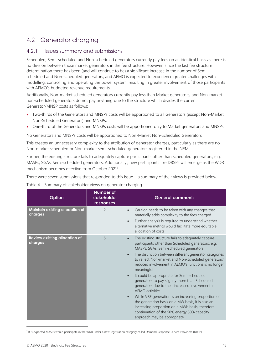## <span id="page-17-0"></span>4.2 Generator charging

#### 4.2.1 Issues summary and submissions

Scheduled, Semi-scheduled and Non-scheduled generators currently pay fees on an identical basis as there is no division between those market generators in the fee structure. However, since the last fee structure determination there has been (and will continue to be) a significant increase in the number of Semischeduled and Non-scheduled generators, and AEMO is expected to experience greater challenges with modelling, controlling and operating the power system, resulting in greater involvement of those participants with AEMO's budgeted revenue requirements.

Additionally, Non-market scheduled generators currently pay less than Market generators, and Non-market non-scheduled generators do not pay anything due to the structure which divides the current Generator/MNSP costs as follows:

- Two-thirds of the Generators and MNSPs costs will be apportioned to all Generators (except Non-Market Non-Scheduled Generators) and MNSPs;
- One-third of the Generators and MNSPs costs will be apportioned only to Market generators and MNSPs.

No Generators and MNSPs costs will be apportioned to Non-Market Non-Scheduled Generators

This creates an unnecessary complexity to the attribution of generator charges, particularly as there are no Non-market scheduled or Non-market semi-scheduled generators registered in the NEM.

Further, the existing structure fails to adequately capture participants other than scheduled generators, e.g. MASPs, SGAs, Semi-scheduled generators. Additionally., new participants like DRSPs will emerge as the WDR mechanism becomes effective from October 2021<sup>7</sup>.

There were seven submissions that responded to this issue – a summary of their views is provided below.

| Table 4 - Summary of stakeholder views on generator charging |  |
|--------------------------------------------------------------|--|
|                                                              |  |
|                                                              |  |

| Option                                          | <b>Number of</b><br>stakeholder<br>responses | <b>General comments</b>                                                                                                                                                                                                                                                                                                                                                                                                                                                                                                                                                                                                                                                                                                                                                                 |
|-------------------------------------------------|----------------------------------------------|-----------------------------------------------------------------------------------------------------------------------------------------------------------------------------------------------------------------------------------------------------------------------------------------------------------------------------------------------------------------------------------------------------------------------------------------------------------------------------------------------------------------------------------------------------------------------------------------------------------------------------------------------------------------------------------------------------------------------------------------------------------------------------------------|
| Maintain existing allocation of<br>charges      | $\overline{c}$                               | Caution needs to be taken with any changes that<br>materially adds complexity to the fees charged<br>Further analysis is required to understand whether<br>$\bullet$<br>alternative metrics would facilitate more equitable<br>allocation of costs                                                                                                                                                                                                                                                                                                                                                                                                                                                                                                                                      |
| <b>Review existing allocation of</b><br>charges | 5                                            | The existing structure fails to adequately capture<br>$\bullet$<br>participants other than Scheduled generators, e.g.<br>MASPs, SGAs, Semi-scheduled generators<br>The distinction between different generator categories<br>to reflect Non-market and Non-scheduled generators'<br>reduced involvement in AEMO's functions is no longer<br>meaningful<br>It could be appropriate for Semi-scheduled<br>$\bullet$<br>generators to pay slightly more than Scheduled<br>generators due to their increased involvement in<br>AEMO activities<br>While VRE generation is an increasing proportion of<br>the generation basis on a MW basis, it is also an<br>increasing proportion on a MWh basis, therefore<br>continuation of the 50% energy 50% capacity<br>approach may be appropriate |

<sup>&</sup>lt;sup>7</sup> It is expected MASPs would participate in the WDR under a new registration category called Demand Response Service Providers (DRSP)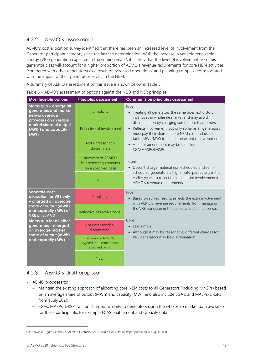## 4.2.2 AEMO's assessment

AEMO's cost allocation survey identified that there has been an increased level of involvement from the Generator participant category since the last fee determination. With the increase in variable renewable energy (VRE) generation expected in the coming years<sup>8</sup>, it is likely that the level of involvement from this generator class will account for a higher proportion of AEMO's revenue requirements for core NEM activities (compared with other generators) as a result of increased operational and planning complexities associated with the impact of their penetration levels in the NEM.

A summary of AEMO's assessment on this issue is shown below in Table 5.

| <b>Most feasible options</b>                                                                                                                                                                                                                                     | <b>Principles assessment</b>                                        | <b>Comments on principles assessment</b>                                                                                                                                        |
|------------------------------------------------------------------------------------------------------------------------------------------------------------------------------------------------------------------------------------------------------------------|---------------------------------------------------------------------|---------------------------------------------------------------------------------------------------------------------------------------------------------------------------------|
| Status quo – charge all<br>generators and market<br>network service<br>providers on average<br>market share of output<br>(MWh) and capacity<br>(MW)                                                                                                              | Simplicity                                                          | Pros<br>Treating all generators the same does not distort<br>$\bullet$<br>incentives in wholesale market and may avoid                                                          |
|                                                                                                                                                                                                                                                                  | Reflective of involvement                                           | discrimination by charging some more than others.<br>Reflects involvement, but only so far as all generators<br>$\bullet$<br>must pay their share of core NEM cost and uses the |
|                                                                                                                                                                                                                                                                  | Not unreasonably<br>discriminate                                    | tariff (MWh/MW) to reflect the extent of involvement<br>• A minor amendment may be to include<br>SGA/MASPs/DRSPs.                                                               |
|                                                                                                                                                                                                                                                                  | Recovery of AEMO's<br>budgeted requirements<br>on a specified basis | Cons<br>• Doesn't charge material non-scheduled and semi-                                                                                                                       |
|                                                                                                                                                                                                                                                                  | <b>NEO</b>                                                          | scheduled generators a higher rate, particularly in the<br>earlier years, to reflect their increased involvement in<br>AEMO's revenue requirements                              |
| Separate cost<br>allocation for VRE only<br>- charged on average<br>share of output (MWh)<br>and capacity (MW) of<br><b>VRE only; AND</b><br>Status quo for all other<br>generators - charged<br>on average market<br>share of output (MWh)<br>and capacity (MW) | Simplicity                                                          | Pros<br>Based on survey results, reflects the extra involvement<br>$\bullet$<br>with AEMO's revenue requirements from managing                                                  |
|                                                                                                                                                                                                                                                                  | Reflective of involvement                                           | the VRE transition in the earlier years the fee period.<br>Cons                                                                                                                 |
|                                                                                                                                                                                                                                                                  | Not unreasonably<br>discriminate                                    | Less simple<br>$\bullet$<br>Although it may be reasonable, different charges for<br>$\bullet$                                                                                   |
|                                                                                                                                                                                                                                                                  | Recovery of AEMO's<br>budgeted requirements on a<br>specified basis | VRE generators may be discrimination                                                                                                                                            |
|                                                                                                                                                                                                                                                                  | <b>NEO</b>                                                          |                                                                                                                                                                                 |

Table 5 – AEMO's assessment of options against the NEO and NER principles

## 4.2.3 AEMO's draft proposal

- AEMO proposes to:
	- Maintain the existing approach of allocating core NEM costs to all Generators (including MNSPs) based on an average share of output (MWh) and capacity (MW), and also include SGA's and MASPs/DRSPs from 1 July 2021;
	- SGAs, MASPs, DRSPs will be charged similarly to generators using the wholesale market data available for these participants, for example FCAS enablement and capacity data;

<sup>&</sup>lt;sup>8</sup> As shown in Figures 4 and 5 of AEMO's Electricity Fee structure Consultation Paper published in August 2020.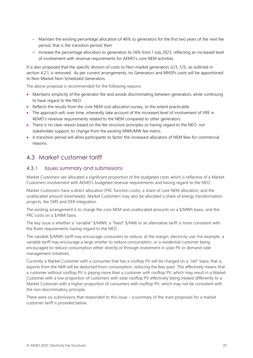- Maintain the existing percentage allocation of 46% to generators for the first two years of the next fee period, that is the transition period; then
- Increase the percentage allocation to generators to 56% from 1 July 2023, reflecting an increased level of involvement with revenue requirements for AEMO's core NEM activities.

It is also proposed that the specific division of costs to Non-market generators (2/3, 1/3), as outlined in section 4.2.1, is removed. As per current arrangements, no Generators and MNSPs costs will be apportioned to Non-Market Non-Scheduled Generators.

The above proposal is recommended for the following reasons:

- Maintains simplicity of the generator fee and avoids discriminating between generators, while continuing to have regard to the NEO.
- Reflects the results from the core NEM cost allocation survey, to the extent practicable.
- The approach will, over time, inherently take account of the increased level of involvement of VRE in AEMO's revenue requirements related to the NEM compared to other generators.
- There is no clear reason based on the fee structure principles or having regard to the NEO, nor stakeholder support, to change from the existing MWh/MW fee metric.
- A transition period will allow participants to factor the increased allocation of NEM fees for commercial reasons.

## <span id="page-19-0"></span>4.3 Market customer tariff

#### 4.3.1 Issues summary and submissions

Market Customers are allocated a significant proportion of the budgeted costs which is reflective of a Market Customers involvement with AEMO's budgeted revenue requirements and having regard to the NEO.

Market Customers have a direct allocation (FRC function costs), a share of core NEM allocation, and the unallocated amount (overheads). Market Customers may also be allocated a share of energy transformation projects, like 5MS and DER integration.

The existing arrangement is to charge the core NEM and unallocated amounts on a \$/MWh basis, and the FRC costs on a \$/NMI basis.

The key issue is whether a "variable" \$/MWh, a "fixed" \$/NMI or an alternative tariff is more consistent with the Rules requirements having regard to the NEO.

The variable \$/MWh tariff may encourage consumers to reduce, at the margin, electricity use. For example, a variable tariff may encourage a large smelter to reduce consumption, or a residential customer being encouraged to reduce consumption either directly or through investment in solar PV or demand-side management initiatives.

Currently a Market Customer with a consumer that has a rooftop PV will be charged on a "net" basis; that is, exports from the NMI will be deducted from consumption, reducing the fees paid. This effectively means that a customer without rooftop PV is paying more than a customer with rooftop PV, which may result in a Market Customer with a low proportion of customers with solar rooftop PV effectively being treated differently to a Market Customer with a higher proportion of consumers with rooftop PV, which may not be consistent with the non-discriminatory principle.

There were six submissions that responded to this issue  $-$  a summary of the main proposals for a market customer tariff is provided below.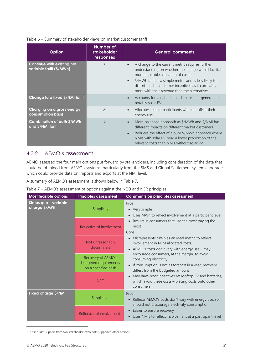#### Table 6 – Summary of stakeholder views on market customer tariff

| <b>Option</b>                                          | Number of<br><b>stakeholder</b><br>responses | <b>General comments</b>                                                                                                                                                                                                                                                                                         |
|--------------------------------------------------------|----------------------------------------------|-----------------------------------------------------------------------------------------------------------------------------------------------------------------------------------------------------------------------------------------------------------------------------------------------------------------|
| Continue with existing net<br>variable tariff (\$/MWh) | 3                                            | A change to the current metric requires further<br>understanding on whether the change would facilitate<br>more equitable allocation of costs<br>\$/MWh tariff is a simple metric and is less likely to<br>distort market customer incentives as it correlates<br>more with their revenue than the alternatives |
| Change to a fixed \$/NMI tariff                        |                                              | Accounts for variable behind-the-meter generation,<br>notably solar PV                                                                                                                                                                                                                                          |
| Charging on a gross energy<br>consumption basis        | 2 <sup>9</sup>                               | Allocates fees to participants who can offset their<br>energy use                                                                                                                                                                                                                                               |
| Combination of both \$/MWh<br>and \$/NMI tariff        | $\overline{\phantom{0}}$                     | More balanced approach as \$/MWh and \$/NMI has<br>$\bullet$<br>different impacts on different market customers<br>Reduces the effect of a pure \$/MWh approach where<br>NMIs with solar PV bear a lower proportion of the<br>relevant costs than NMIs without solar PV                                         |

#### 4.3.2 AEMO's assessment

AEMO assessed the four main options put forward by stakeholders, including consideration of the data that could be obtained from AEMO's systems, particularly from the 5MS and Global Settlement systems upgrade, which could provide data on imports and exports at the NMI level.

A summary of AEMO's assessment is shown below in Table 7.

| Table 7 - AEMO's assessment of options against the NEO and NER principles |  |  |  |
|---------------------------------------------------------------------------|--|--|--|
|                                                                           |  |  |  |

| <b>Most feasible options</b>           | <b>Principles assessment</b>                                        | <b>Comments on principles assessment</b>                                                                                                                           |
|----------------------------------------|---------------------------------------------------------------------|--------------------------------------------------------------------------------------------------------------------------------------------------------------------|
| Status quo – variable<br>charge \$/MWh | Simplicity                                                          | Pros<br>• Very simple<br>Uses MWh to reflect involvement at a participant level<br>$\bullet$                                                                       |
|                                        | Reflective of involvement                                           | Results in consumers that use the most paying the<br>most<br>Cons                                                                                                  |
|                                        | Not unreasonably<br>discriminate                                    | Misrepresents MWh as an ideal metric to reflect<br>involvement in NEM allocated costs.<br>AEMO's costs don't vary with energy use - may<br>$\bullet$               |
|                                        | Recovery of AEMO's<br>budgeted requirements<br>on a specified basis | encourage consumers, at the margin, to avoid<br>consuming electricity<br>If consumption is not as forecast in a year, recovery<br>differs from the budgeted amount |
|                                        | <b>NEO</b>                                                          | May have poor incentives re: rooftop PV and batteries,<br>$\bullet$<br>which avoid these costs - placing costs onto other<br>consumers                             |
| Fixed charge \$/NMI                    | Simplicity                                                          | Pros<br>Reflects AEMO's costs don't vary with energy use, so<br>should not discourage electricity consumption                                                      |
|                                        | Reflective of involvement                                           | Easier to ensure recovery<br>$\bullet$<br>Uses NMIs to reflect involvement at a participant level                                                                  |

<sup>9</sup> This includes support from two stakeholders who both supported other options.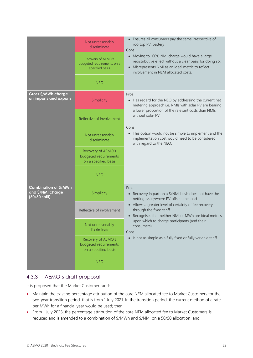|                                                             | Not unreasonably<br>discriminate<br>Recovery of AEMO's<br>budgeted requirements on a<br>specified basis<br><b>NEO</b> | • Ensures all consumers pay the same irrespective of<br>rooftop PV, battery<br>Cons<br>• Moving to 100% NMI charge would have a large<br>redistributive effect without a clear basis for doing so.<br>Misrepresents NMI as an ideal metric to reflect<br>$\bullet$<br>involvement in NEM allocated costs. |
|-------------------------------------------------------------|-----------------------------------------------------------------------------------------------------------------------|-----------------------------------------------------------------------------------------------------------------------------------------------------------------------------------------------------------------------------------------------------------------------------------------------------------|
| Gross \$/MWh charge<br>on imports and exports               | Simplicity                                                                                                            | Pros<br>• Has regard for the NEO by addressing the current net<br>metering approach i.e. NMIs with solar PV are bearing<br>a lower proportion of the relevant costs than NMIs                                                                                                                             |
|                                                             | Reflective of involvement                                                                                             | without solar PV<br>Cons                                                                                                                                                                                                                                                                                  |
|                                                             | Not unreasonably<br>discriminate                                                                                      | • This option would not be simple to implement and the<br>implementation cost would need to be considered<br>with regard to the NEO.                                                                                                                                                                      |
|                                                             | Recovery of AEMO's<br>budgeted requirements<br>on a specified basis                                                   |                                                                                                                                                                                                                                                                                                           |
|                                                             | <b>NEO</b>                                                                                                            |                                                                                                                                                                                                                                                                                                           |
| Combination of \$/MWh<br>and \$/NMI charge<br>(50/50 split) | Simplicity                                                                                                            | Pros<br>• Recovery in part on a \$/NMI basis does not have the<br>netting issue/where PV offsets the load                                                                                                                                                                                                 |
|                                                             | Reflective of involvement                                                                                             | • Allows a greater level of certainty of fee recovery<br>through the fixed tariff<br>Recognises that neither NMI or MWh are ideal metrics<br>$\bullet$                                                                                                                                                    |
|                                                             | Not unreasonably<br>consumers).<br>discriminate<br>Cons                                                               | upon which to charge participants (and their                                                                                                                                                                                                                                                              |
|                                                             | Recovery of AEMO's<br>budgeted requirements<br>on a specified basis                                                   | • Is not as simple as a fully fixed or fully variable tariff                                                                                                                                                                                                                                              |
|                                                             | <b>NEO</b>                                                                                                            |                                                                                                                                                                                                                                                                                                           |

## 4.3.3 AEMO's draft proposal

It is proposed that the Market Customer tariff:

- Maintain the existing percentage attribution of the core NEM allocated fee to Market Customers for the two-year transition period, that is from 1 July 2021. In the transition period, the current method of a rate per MWh for a financial year would be used; then
- From 1 July 2023, the percentage attribution of the core NEM allocated fee to Market Customers is reduced and is amended to a combination of \$/MWh and \$/NMI on a 50/50 allocation; and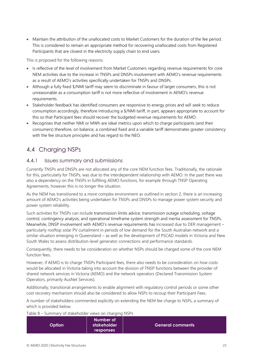• Maintain the attribution of the unallocated costs to Market Customers for the duration of the fee period. This is considered to remain an appropriate method for recovering unallocated costs from Registered Participants that are closest in the electricity supply chain to end users.

This is proposed for the following reasons:

- Is reflective of the level of involvement from Market Customers regarding revenue requirements for core NEM activities due to the increase in TNSPs and DNSPs involvement with AEMO's revenue requirements as a result of AEMO's activities specifically undertaken for TNSPs and DNSPs.
- Although a fully fixed \$/NMI tariff may seem to discriminate in favour of larger consumers, this is not unreasonable as a consumption tariff is not more reflective of involvement in AEMO's revenue requirements.
- Stakeholder feedback has identified consumers are responsive to energy prices and will seek to reduce consumption accordingly, therefore introducing a \$/NMI tariff, in part, appears appropriate to account for this so that Participant fees should recover the budgeted revenue requirements for AEMO.
- Recognises that neither NMI or MWh are ideal metrics upon which to charge participants (and their consumers) therefore, on balance, a combined fixed and a variable tariff demonstrates greater consistency with the fee structure principles and has regard to the NEO.

## <span id="page-22-0"></span>4.4 Charging NSPs

#### 4.4.1 Issues summary and submissions

Currently TNSPs and DNSPs are not allocated any of the core NEM function fees. Traditionally, the rationale for this, particularly for TNSPs, was due to the interdependent relationship with AEMO. In the past there was also a dependency on the TNSPs in fulfilling AEMO functions, for example through TNSP Operating Agreements, however this is no longer the situation.

As the NEM has transitioned to a more complex environment as outlined in section 2, there is an increasing amount of AEMO's activities being undertaken for TNSPs and DNSPs to manage power system security and power system reliability.

Such activities for TNSPs can include transmission limits advice, transmission outage scheduling, voltage control, contingency analysis, and operational timeframe system strength and inertia assessment for TNSPs. Meanwhile, DNSP involvement with AEMO's revenue requirements has increased due to DER management – particularly rooftop solar PV curtailment in periods of low demand for the South Australian network and a similar situation emerging in Queensland – as well as the development of PSCAD models in Victoria and New South Wales to assess distribution-level generator connections and performance standards.

Consequently, there needs to be consideration on whether NSPs should be charged some of the core NEM function fees.

However, if AEMO is to charge TNSPs Participant fees, there also needs to be consideration on how costs would be allocated in Victoria taking into account the division of TNSP functions between the provider of shared network services in Victoria (AEMO) and the network operators (Declared Transmission System Operators, primarily AusNet Services).

Additionally, transitional arrangements to enable alignment with regulatory control periods or some other cost recovery mechanism should also be considered to allow NSPs to recoup their Participant Fees.

A number of stakeholders commented explicitly on extending the NEM fee charge to NSPs, a summary of which is provided below.

Table 8 – Summary of stakeholder views on charging NSPs

| $\mathsf{Option}^+$ | Number of<br>stakeholder | <b>General comments</b> |
|---------------------|--------------------------|-------------------------|
|                     | <b>responses</b>         |                         |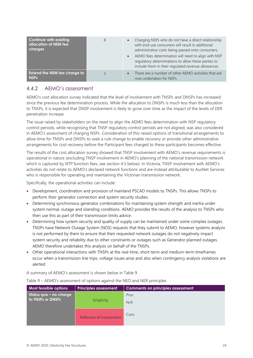| Continue with existing<br>allocation of NEM fee<br>charges | 8 | Charging NSPs who do not have a direct relationship<br>$\bullet$<br>with end-use consumers will result in additional<br>administrative costs being passed onto consumers<br>AEMO fees determination will need to align with NSP<br>$\bullet$<br>regulatory determinations to allow these parties to<br>include them in their regulated revenue allowances |
|------------------------------------------------------------|---|-----------------------------------------------------------------------------------------------------------------------------------------------------------------------------------------------------------------------------------------------------------------------------------------------------------------------------------------------------------|
| <b>Extend the NEM fee charge to</b><br><b>NSPs</b>         |   | There are a number of other AEMO activities that are<br>$\bullet$<br>now undertaken for NSPs                                                                                                                                                                                                                                                              |

## 4.4.2 AEMO's assessment

AEMO's cost allocation survey indicated that the level of involvement with TNSPs and DNSPs has increased since the previous fee determination process. While the allocation to DNSPs is much less than the allocation to TNSPs, it is expected that DNSP involvement is likely to grow over time as the impact of the levels of DER penetration increase.

The issue raised by stakeholders on the need to align the AEMO fees determination with NSP regulatory control periods, while recognising that TNSP regulatory control periods are not aligned, was also considered in AEMO's assessment of charging NSPs. Consideration of this raised options of transitional arrangements to allow time for TNSPs and DNSPs to seek a rule change to enable recovery or provide other administrative arrangements for cost recovery before the Participant fees charged to these participants becomes effective.

The results of the cost allocation survey showed that TNSP involvement with AEMO's revenue requirements is operational in nature (excluding TNSP involvement in AEMO's planning of the national transmission network which is captured by NTP function fees, see section 4.5 below). In Victoria, TNSP involvement with AEMO's activities do not relate to AEMO's declared network functions and are instead attributable to AusNet Services who is responsible for operating and maintaining the Victorian transmission network.

Specifically, the operational activities can include:

- Development, coordination and provision of mainland PSCAD models to TNSPs. This allows TNSPs to perform their generator connection and system security studies.
- Determining synchronous generator combinations for maintaining system strength and inertia under system normal, outage and islanding conditions. AEMO provides the results of the analysis to TNSPs who then use this as part of their transmission limits advice.
- Determining how system security and quality of supply can be maintained under some complex outages. TNSPs have Network Outage System (NOS) requests that they submit to AEMO, however systems analysis is not performed by them to ensure that their requested network outages do not negatively impact system security and reliability due to other constraints or outages such as Generator planned outages. AEMO therefore undertakes this analysis on behalf of the TNSPs.
- Other operational interactions with TNSPs at the real-time, short-term and medium-term timeframes occur when a transmission line trips, voltage issues arise and also when contingency analysis violations are alerted.

A summary of AEMO's assessment is shown below in Table 9.

| <b>Most feasible options</b>                | <b>Principles assessment</b> | <b>Comments on principles assessment</b> |
|---------------------------------------------|------------------------------|------------------------------------------|
| Status quo – no charge<br>to TNSPs or DNSPs | Simplicity                   | Pros<br>N/A                              |
|                                             | Reflective of involvement    | Cons                                     |

Table 9 – AEMO's assessment of options against the NEO and NER principles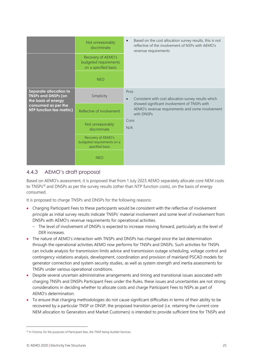|                                                                                                                                | Not unreasonably<br>discriminate<br>Recovery of AEMO's<br>budgeted requirements<br>on a specified basis<br><b>NEO</b> | Based on the cost allocation survey results, this is not<br>$\bullet$<br>reflective of the involvement of NSPs with AEMO's<br>revenue requirements |
|--------------------------------------------------------------------------------------------------------------------------------|-----------------------------------------------------------------------------------------------------------------------|----------------------------------------------------------------------------------------------------------------------------------------------------|
| Separate allocation to<br><b>TNSPs and DNSPs (on</b><br>the basis of energy<br>consumed as per the<br>NTP function fee metric) | Simplicity                                                                                                            | Pros<br>Consistent with cost allocation survey results which<br>$\bullet$<br>showed significant involvement of TNSPs with                          |
|                                                                                                                                | Reflective of involvement                                                                                             | AEMO's revenue requirements and some involvement<br>with DNSPs                                                                                     |
|                                                                                                                                | Not unreasonably<br>discriminate                                                                                      | Cons<br>N/A                                                                                                                                        |
|                                                                                                                                | Recovery of AEMO's<br>budgeted requirements on a<br>specified basis                                                   |                                                                                                                                                    |
|                                                                                                                                | <b>NEO</b>                                                                                                            |                                                                                                                                                    |

## 4.4.3 AEMO's draft proposal

Based on AEMO's assessment, it is proposed that from 1 July 2023 AEMO separately allocate core NEM costs to TNSPs<sup>10</sup> and DNSPs as per the survey results (other than NTP function costs), on the basis of energy consumed.

It is proposed to charge TNSPs and DNSPs for the following reasons:

- Charging Participant Fees to these participants would be consistent with the reflective of involvement principle as initial survey results indicate TNSPs' material involvement and some level of involvement from DNSPs with AEMO's revenue requirements for operational activities.
	- The level of involvement of DNSPs is expected to increase moving forward, particularly as the level of DER increases.
- The nature of AEMO's interaction with TNSPs and DNSPs has changed since the last determination through the operational activities AEMO now performs for TNSPs and DNSPs. Such activities for TNSPs can include analysis for transmission limits advice and transmission outage scheduling, voltage control and contingency violations analysis, development, coordination and provision of mainland PSCAD models for generator connection and system security studies, as well as system strength and inertia assessments for TNSPs under various operational conditions.
- Despite several uncertain administrative arrangements and timing and transitional issues associated with charging TNSPs and DNSPs Participant Fees under the Rules, these issues and uncertainties are not strong considerations in deciding whether to allocate costs and charge Participant Fees to NSPs as part of AEMO's determination.
- To ensure that charging methodologies do not cause significant difficulties in terms of their ability to be recovered by a particular TNSP or DNSP, the proposed transition period (i.e. retaining the current core NEM allocation to Generators and Market Customers) is intended to provide sufficient time for TNSPs and

<sup>&</sup>lt;sup>10</sup> In Victoria, for the purposes of Participant fees, the TNSP being AusNet Services.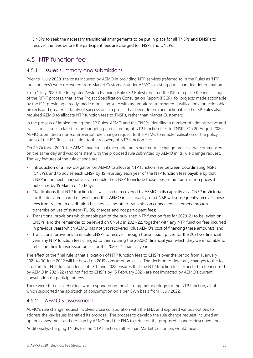DNSPs to seek the necessary transitional arrangements to be put in place for all TNSPs and DNSPs to recover the fees before the participant fees are charged to TNSPs and DNSPs.

## <span id="page-25-0"></span>4.5 NTP function fee

#### 4.5.1 Issues summary and submissions

Prior to 1 July 2020, the costs incurred by AEMO in providing NTP services (referred to in the Rules as 'NTP function fees') were recovered from Market Customers under AEMO's existing participant fee determination.

From 1 July 2020, the Integrated System Planning Rule (ISP Rules) required the ISP to replace the initial stages of the RIT-T process, that is the Project Specification Consultation Report (PSCR), for projects made actionable by the ISP, providing a ready-made modelling suite with assumptions, transparent justifications for actionable projects and greater certainty of success once a project has been determined actionable. The ISP Rules also required AEMO to allocate NTP function fees to TNSPs, rather than Market Customers.

In the process of implementing the ISP Rules, AEMO and the TNSPs identified a number of administrative and transitional issues related to the budgeting and charging of NTP function fees to TNSPs. On 20 August 2020, AEMO submitted a non-controversial rule change request to the AEMC to enable realisation of the policy intent of the ISP Rules in relation to the recovery of NTP function fees.

On 29 October 2020, the AEMC made a final rule under an expedited rule change process that commenced on the same day and was consistent with the proposed rule submitted by AEMO in its rule change request. The key features of the rule change are:

- Introduction of a new obligation on AEMO to allocate NTP function fees between Coordinating NSPs (CNSPs), and to advise each CNSP by 15 February each year of the NTP function fees payable by that CNSP in the next financial year, to enable the CNSP to include those fees in the transmission prices it publishes by 15 March or 15 May;
- Clarifications that NTP function fees will also be recovered by AEMO in its capacity as a CNSP in Victoria for the declared shared network, and that AEMO in its capacity as a CNSP will subsequently recover these fees from Victorian distribution businesses and other transmission connected customers through transmission use of system (TUOS) charges and not participant fees;
- Transitional provisions which enable part of the published NTP function fees for 2020-21 to be levied on CNSPs, and the remainder to be levied on CNSPs in 2021-22, together with any NTP function fees incurred in previous years which AEMO has not yet recovered (plus AEMO's cost of financing these amounts); and
- Transitional provisions to enable CNSPs to recover through transmission prices for the 2021-22 financial year any NTP function fees charged to them during the 2020-21 financial year which they were not able to reflect in their transmission prices for the 2020-21 financial year.

The effect of the final rule is that allocation of NTP function fees to CNSPs over the period from 1 January 2021 to 30 June 2022 will be based on 2019 consumption levels. The decision to defer any changes to the fee structure for NTP function fees until 30 June 2022 ensures that the NTP function fees expected to be incurred by AEMO in 2021-22 (and notified to CNSPs by 15 February 2021) are not impacted by AEMO's current consultation on participant fees.

There were three stakeholders who responded on the charging methodology for the NTP function, all of which supported the approach of consumption on a per GWh basis from 1 July 2022.

### 4.5.2 AEMO's assessment

AEMO's rule change request involved close collaboration with the ENA and explored various options to address the key issues identified its proposal. The process to develop the rule change request included an options assessment and decision by AEMO and the ENA to settle on the proposed changes described above.

Additionally, charging TNSPs for the NTP function, rather than Market Customers would mean: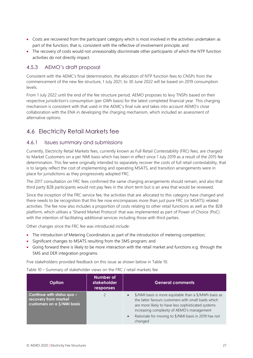- Costs are recovered from the participant category which is most involved in the activities undertaken as part of the function, that is, consistent with the reflective of involvement principle; and
- The recovery of costs would not unreasonably discriminate other participants of which the NTP function activities do not directly impact.

### 4.5.3 AEMO's draft proposal

Consistent with the AEMC's final determination, the allocation of NTP function fees to CNSPs from the commencement of the new fee structure, 1 July 2021, to 30 June 2022 will be based on 2019 consumption levels.

From 1 July 2022 until the end of the fee structure period, AEMO proposes to levy TNSPs based on their respective jurisdiction's consumption (per GWh basis) for the latest completed financial year. This charging mechanism is consistent with that used in the AEMC's final rule and takes into account AEMO's close collaboration with the ENA in developing the charging mechanism, which included an assessment of alternative options.

## <span id="page-26-0"></span>4.6 Electricity Retail Markets fee

#### 4.6.1 Issues summary and submissions

Currently, Electricity Retail Markets fees, currently known as Full Retail Contestability (FRC) fees, are charged to Market Customers on a per NMI basis which has been in effect since 1 July 2019 as a result of the 2015 fee determination. This fee were originally intended to separately recover the costs of full retail contestability, that is to largely reflect the cost of implementing and operating MSATS, and transition arrangements were in place for jurisdictions as they progressively adopted FRC.

The 2017 consultation on FRC fees confirmed the same charging arrangements should remain, and also that third party B2B participants would not pay fees in the short term but is an area that would be reviewed.

Since the inception of the FRC service fee, the activities that are allocated to this category have changed and there needs to be recognition that this fee now encompasses more than just pure FRC (or MSATS) related activities. The fee now also includes a proportion of costs relating to other retail functions as well as the B2B platform, which utilises a 'Shared Market Protocol' that was implemented as part of Power of Choice (PoC) with the intention of facilitating additional services including those with third parties.

Other changes since the FRC fee was introduced include:

- The introduction of Metering Coordinators as part of the introduction of metering competition;
- Significant changes to MSATS resulting from the 5MS program; and
- Going forward there is likely to be more interaction with the retail market and functions e.g. through the 5MS and DER integration programs.

Five stakeholders provided feedback on this issue as shown below in Table 10.

Table 10 – Summary of stakeholder views on the FRC / retail markets fee

| Option                                                                            | Number of<br>stakeholder<br>responses | <b>General comments</b>                                                                                                                                                                                                                                                                                       |
|-----------------------------------------------------------------------------------|---------------------------------------|---------------------------------------------------------------------------------------------------------------------------------------------------------------------------------------------------------------------------------------------------------------------------------------------------------------|
| Continue with status quo -<br>recovery from market<br>customers on a \$/NMI basis |                                       | \$/NMI basis is more equitable than a \$/MWh basis as<br>$\bullet$<br>the latter favours customers with small loads which<br>are more likely to have less sophisticated systems<br>increasing complexity of AEMO's management<br>Rationale for moving to \$/NMI basis in 2019 has not<br>$\bullet$<br>changed |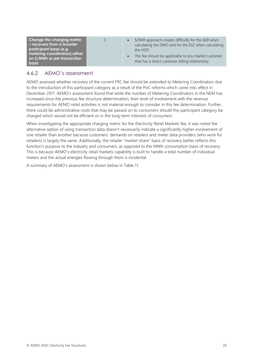**Change the charging metric – recovery from a broader participant base (e.g. metering coordinators) either on \$/MWh or per transaction basis**

- 3 \$/NMI approach creates difficulty for the AER when calculating the DMO and for the ESC when calculating the VDO
	- The fee should be applicable to any market customer that has a direct customer billing relationship

### 4.6.2 AEMO's assessment

AEMO assessed whether recovery of the current FRC fee should be extended to Metering Coordinators due to the introduction of this participant category as a result of the PoC reforms which came into effect in December 2017. AEMO's assessment found that while the number of Metering Coordinators in the NEM has increased since the previous fee structure determination, their level of involvement with the revenue requirements for AEMO retail activities is not material enough to consider in this fee determination. Further, there could be administrative costs that may be passed on to consumers should this participant category be charged which would not be efficient or in the long-term interests of consumers.

When investigating the appropriate charging metric for the Electricity Retail Markets fee, it was noted the alternative option of using transaction data doesn't necessarily indicate a significantly higher involvement of one retailer than another because customers' demands on retailers and meter data providers (who work for retailers) is largely the same. Additionally, the retailer "market share" basis of recovery better reflects this function's purpose to the industry and consumers, as opposed to the MWh consumption basis of recovery. This is because AEMO's electricity retail markets capability is built to handle a total number of individual meters and the actual energies flowing through them is incidental.

A summary of AEMO's assessment is shown below in Table 11.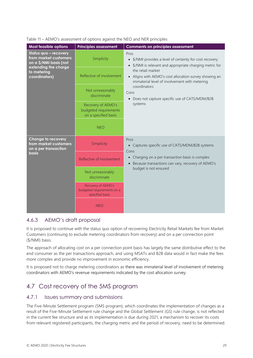| <b>Most feasible options</b>                                                                                                     | <b>Principles assessment</b>                                        | <b>Comments on principles assessment</b>                                                                                                |
|----------------------------------------------------------------------------------------------------------------------------------|---------------------------------------------------------------------|-----------------------------------------------------------------------------------------------------------------------------------------|
| Status quo - recovery<br>from market customers<br>on a \$/NMI basis (not<br>extending the charge<br>to metering<br>coordinators) | Simplicity                                                          | Pros<br>• \$/NMI provides a level of certainty for cost recovery<br>• \$/NMI is relevant and appropriate charging metric for            |
|                                                                                                                                  | Reflective of involvement                                           | the retail market<br>Aligns with AEMO's cost allocation survey showing an<br>$\bullet$<br>immaterial level of involvement with metering |
|                                                                                                                                  | Not unreasonably<br>discriminate                                    | coordinators<br>Cons<br>• Does not capture specific use of CATS/MDM/B2B                                                                 |
|                                                                                                                                  | Recovery of AEMO's<br>budgeted requirements<br>on a specified basis | systems                                                                                                                                 |
|                                                                                                                                  | <b>NEO</b>                                                          |                                                                                                                                         |
| <b>Change to recovery</b><br>from market customers<br>on a per transaction                                                       | Simplicity                                                          | Pros<br>• Captures specific use of CATS/MDM/B2B systems<br>Cons                                                                         |
| <b>basis</b>                                                                                                                     | Reflective of involvement                                           | Charging on a per transaction basis is complex<br>$\bullet$<br>Because transactions can vary, recovery of AEMO's                        |
|                                                                                                                                  | Not unreasonably<br>discriminate                                    | budget is not ensured                                                                                                                   |
|                                                                                                                                  | Recovery of AEMO's<br>budgeted requirements on a<br>specified basis |                                                                                                                                         |
|                                                                                                                                  | <b>NEO</b>                                                          |                                                                                                                                         |

#### Table 11 – AEMO's assessment of options against the NEO and NER principles

### 4.6.3 AEMO's draft proposal

It is proposed to continue with the status quo option of recovering Electricity Retail Markets fee from Market Customers (continuing to exclude metering coordinators from recovery) and on a per connection point (\$/NMI) basis.

The approach of allocating cost on a per connection point basis has largely the same distributive effect to the end consumer as the per transactions approach, and using MSATs and B2B data would in fact make the fees more complex and provide no improvement in economic efficiency.

It is proposed not to charge metering coordinators as there was immaterial level of involvement of metering coordinators with AEMO's revenue requirements indicated by the cost allocation survey.

## <span id="page-28-0"></span>4.7 Cost recovery of the 5MS program

#### 4.7.1 Issues summary and submissions

The Five-Minute Settlement program (5MS program), which coordinates the implementation of changes as a result of the Five-Minute Settlement rule change and the Global Settlement (GS) rule change, is not reflected in the current fee structure and as its implementation is due during 2021, a mechanism to recover its costs from relevant registered participants, the charging metric and the period of recovery, need to be determined.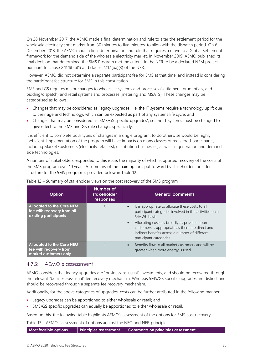On 28 November 2017, the AEMC made a final determination and rule to alter the settlement period for the wholesale electricity spot market from 30 minutes to five minutes, to align with the dispatch period. On 6 December 2018, the AEMC made a final determination and rule that requires a move to a Global Settlement framework for the demand side of the wholesale electricity market. In November 2019, AEMO published its final decision that determined the 5MS Program met the criteria in the NER to be a declared NEM project pursuant to clause 2.11.1(ba)(1) and clause 2.11.1(ba)(3) of the NER.

However, AEMO did not determine a separate participant fee for 5MS at that time, and instead is considering the participant fee structure for 5MS in this consultation.

5MS and GS requires major changes to wholesale systems and processes (settlement, prudentials, and bidding/dispatch) and retail systems and processes (metering and MSATS). These changes may be categorised as follows:

- Changes that may be considered as 'legacy upgrades', i.e. the IT systems require a technology uplift due to their age and technology, which can be expected as part of any systems life cycle; and
- Changes that may be considered as '5MS/GS specific upgrades', i.e. the IT systems must be changed to give effect to the 5MS and GS rule changes specifically.

It is efficient to complete both types of changes in a single program, to do otherwise would be highly inefficient. Implementation of the program will have impacts on many classes of registered participants, including Market Customers (electricity retailers), distribution businesses, as well as generation and demand side technologies.

A number of stakeholders responded to this issue, the majority of which supported recovery of the costs of the 5MS program over 10 years. A summary of the main options put forward by stakeholders on a fee structure for the 5MS program is provided below in Table 12.

| Option                                                                                  | Number of<br>stakeholder<br>responses | <b>General comments</b>                                                                                                                                                                                                                                                                                                 |
|-----------------------------------------------------------------------------------------|---------------------------------------|-------------------------------------------------------------------------------------------------------------------------------------------------------------------------------------------------------------------------------------------------------------------------------------------------------------------------|
| <b>Allocated to the Core NEM</b><br>fee with recovery from all<br>existing participants | 5                                     | It is appropriate to allocate these costs to all<br>participant categories involved in the activities on a<br>\$/MWh basis<br>Allocating costs as broadly as possible upon<br>$\bullet$<br>customers is appropriate as there are direct and<br>indirect benefits across a number of different<br>participant categories |
| <b>Allocated to the Core NEM</b><br>fee with recovery from<br>market customers only     |                                       | Benefits flow to all market customers and will be<br>$\bullet$<br>greater when more energy is used                                                                                                                                                                                                                      |

|  | Table 12 – Summary of stakeholder views on the cost recovery of the 5MS program |
|--|---------------------------------------------------------------------------------|

### 4.7.2 AEMO's assessment

AEMO considers that legacy upgrades are "business-as-usual" investments, and should be recovered through the relevant "business-as-usual" fee recovery mechanism. Whereas 5MS/GS specific upgrades are distinct and should be recovered through a separate fee recovery mechanism.

Additionally, for the above categories of upgrades, costs can be further attributed in the following manner:

- Legacy upgrades can be apportioned to either wholesale or retail; and
- 5MS/GS specific upgrades can equally be apportioned to either wholesale or retail.

Based on this, the following table highlights AEMO's assessment of the options for 5MS cost recovery.

Table 13 – AEMO's assessment of options against the NEO and NER principles

**Most feasible options Principles assessment Comments on principles assessment**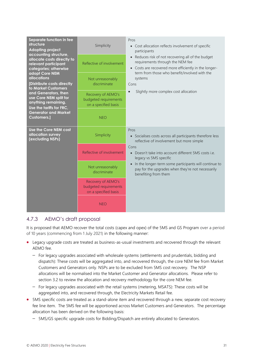| Separate function in fee<br>structure<br><b>Adopting project</b><br>accounting structure,<br>allocate costs directly to<br>relevant participant<br>categories; otherwise<br>adopt Core NEM<br><b>allocations</b><br>[Distribute costs directly<br>to Market Customers<br>and Generators, then<br>use Core NEM split for<br>anything remaining.<br>Use the tariffs for FRC,<br><b>Generator and Market</b><br><b>Customers.]</b> | Simplicity<br>Reflective of involvement<br>Not unreasonably<br>discriminate<br>Recovery of AEMO's<br>budgeted requirements<br>on a specified basis<br><b>NEO</b> | Pros<br>• Cost allocation reflects involvement of specific<br>participants<br>Reduces risk of not recovering all of the budget<br>requirements through the NEM fee<br>• Costs are recovered more efficiently in the longer-<br>term from those who benefit/involved with the<br>systems<br>Cons<br>Slightly more complex cost allocation |
|---------------------------------------------------------------------------------------------------------------------------------------------------------------------------------------------------------------------------------------------------------------------------------------------------------------------------------------------------------------------------------------------------------------------------------|------------------------------------------------------------------------------------------------------------------------------------------------------------------|------------------------------------------------------------------------------------------------------------------------------------------------------------------------------------------------------------------------------------------------------------------------------------------------------------------------------------------|
| Use the Core NEM cost<br>allocation survey<br>(excluding NSPs)                                                                                                                                                                                                                                                                                                                                                                  | Simplicity<br>Reflective of involvement                                                                                                                          | Pros<br>• Socialises costs across all participants therefore less<br>reflective of involvement but more simple<br>Cons                                                                                                                                                                                                                   |
|                                                                                                                                                                                                                                                                                                                                                                                                                                 | Not unreasonably                                                                                                                                                 | Doesn't take into account different 5MS costs i.e.<br>$\bullet$<br>legacy vs 5MS specific<br>In the longer-term some participants will continue to<br>$\bullet$                                                                                                                                                                          |
|                                                                                                                                                                                                                                                                                                                                                                                                                                 | discriminate                                                                                                                                                     | pay for the upgrades when they're not necessarily<br>benefiting from them                                                                                                                                                                                                                                                                |
|                                                                                                                                                                                                                                                                                                                                                                                                                                 | Recovery of AEMO's<br>budgeted requirements<br>on a specified basis                                                                                              |                                                                                                                                                                                                                                                                                                                                          |
|                                                                                                                                                                                                                                                                                                                                                                                                                                 | <b>NEO</b>                                                                                                                                                       |                                                                                                                                                                                                                                                                                                                                          |

## 4.7.3 AEMO's draft proposal

It is proposed that AEMO recover the total costs (capex and opex) of the 5MS and GS Program over a period of 10 years (commencing from 1 July 2021) in the following manner:

- Legacy upgrade costs are treated as business-as-usual investments and recovered through the relevant AEMO fee.
	- For legacy upgrades associated with wholesale systems (settlements and prudentials, bidding and dispatch): These costs will be aggregated into, and recovered through, the core NEM fee from Market Customers and Generators only. NSPs are to be excluded from 5MS cost recovery. The NSP allocations will be normalised into the Market Customer and Generator allocations. Please refer to section 3.2 to review the allocation and recovery methodology for the core NEM fee.
	- For legacy upgrades associated with the retail systems (metering, MSATS): These costs will be aggregated into, and recovered through, the Electricity Markets Retail fee.
- 5MS specific costs are treated as a stand-alone item and recovered through a new, separate cost recovery fee line item. The 5MS fee will be apportioned across Market Customers and Generators. The percentage allocation has been derived on the following basis:
	- 5MS/GS specific upgrade costs for Bidding/Dispatch are entirely allocated to Generators.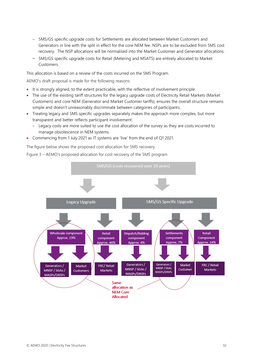- 5MS/GS specific upgrade costs for Settlements are allocated between Market Customers and Generators in line with the split in effect for the core NEM fee. NSPs are to be excluded from 5MS cost recovery. The NSP allocations will be normalised into the Market Customer and Generator allocations.
- 5MS/GS specific upgrade costs for Retail (Metering and MSATS) are entirely allocated to Market Customers.

This allocation is based on a review of the costs incurred on the 5MS Program.

AEMO's draft proposal is made for the following reasons:

- It is strongly aligned, to the extent practicable, with the reflective of involvement principle.
- The use of the existing tariff structures for the legacy upgrade costs of Electricity Retail Markets (Market Customers) and core NEM (Generator and Market Customer tariffs), ensures the overall structure remains simple and doesn't unreasonably discriminate between categories of participants.
- Treating legacy and 5MS specific upgrades separately makes the approach more complex, but more transparent and better reflects participant involvement:
	- Legacy costs are more suited to use the cost allocation of the survey as they are costs incurred to manage obsolescence in NEM systems.
- Commencing from 1 July 2021 as IT systems are 'live' from the end of Q1 2021.

The figure below shows the proposed cost allocation for 5MS recovery.



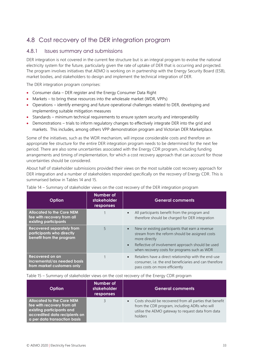## <span id="page-32-0"></span>4.8 Cost recovery of the DER integration program

#### 4.8.1 Issues summary and submissions

DER integration is not covered in the current fee structure but is an integral program to evolve the national electricity system for the future, particularly given the rate of uptake of DER that is occurring and projected. The program involves initiatives that AEMO is working on in partnership with the Energy Security Board (ESB), market bodies, and stakeholders to design and implement the technical integration of DER.

The DER integration program comprises:

- Consumer data DER register and the Energy Consumer Data Right
- Markets to bring these resources into the wholesale market (WDR, VPPs)
- Operations identify emerging and future operational challenges related to DER, developing and implementing suitable mitigation measures
- Standards minimum technical requirements to ensure system security and interoperability
- Demonstrations trials to inform regulatory changes to effectively integrate DER into the grid and markets. This includes, among others VPP demonstration program and Victorian DER Marketplace.

Some of the initiatives, such as the WDR mechanism, will impose considerable costs and therefore an appropriate fee structure for the entire DER integration program needs to be determined for the next fee period. There are also some uncertainties associated with the Energy CDR program, including funding arrangements and timing of implementation, for which a cost recovery approach that can account for those uncertainties should be considered.

About half of stakeholder submissions provided their views on the most suitable cost recovery approach for DER integration and a number of stakeholders responded specifically on the recovery of Energy CDR. This is summarised below in Tables 14 and 15.

| <b>Option</b>                                                                             | Number of<br><b>stakeholder</b><br>responses | <b>General comments</b>                                                                                                                                                                                                                |
|-------------------------------------------------------------------------------------------|----------------------------------------------|----------------------------------------------------------------------------------------------------------------------------------------------------------------------------------------------------------------------------------------|
| <b>Allocated to the Core NEM</b><br>fee with recovery from all<br>existing participants   |                                              | All participants benefit from the program and<br>therefore should be charged for DER integration                                                                                                                                       |
| <b>Recovered separately from</b><br>participants who directly<br>benefit from the program | 5                                            | New or existing participants that earn a revenue<br>stream from the reform should be assigned costs<br>more directly<br>Reflective of involvement approach should be used<br>$\bullet$<br>when recovery costs for programs such as WDR |
| Recovered on an<br>incremental/as needed basis<br>from market customers only              |                                              | Retailers have a direct relationship with the end-use<br>$\bullet$<br>consumer, i.e. the end beneficiaries and can therefore<br>pass costs on more efficiently                                                                         |

Table 14 – Summary of stakeholder views on the cost recovery of the DER integration program

Table 15 – Summary of stakeholder views on the cost recovery of the Energy CDR program

| <b>Option</b>                                                                                                                                                | <b>Number of</b><br>stakeholder<br>responses | <b>General comments</b>                                                                                                                                                   |
|--------------------------------------------------------------------------------------------------------------------------------------------------------------|----------------------------------------------|---------------------------------------------------------------------------------------------------------------------------------------------------------------------------|
| <b>Allocated to the Core NEM</b><br>fee with recovery from all<br>existing participants and<br>accredited data recipients on<br>a per data transaction basis |                                              | Costs should be recovered from all parties that benefit<br>from the CDR program, including ADRs who will<br>utilise the AEMO gateway to request data from data<br>holders |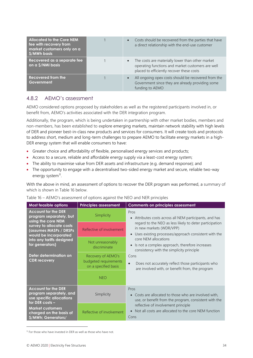| <b>Allocated to the Core NEM</b><br>fee with recovery from<br>market customers only on a<br>\$/MWh basis | Costs should be recovered from the parties that have<br>a direct relationship with the end-use customer                                            |
|----------------------------------------------------------------------------------------------------------|----------------------------------------------------------------------------------------------------------------------------------------------------|
| Recovered as a separate fee<br>on a \$/NMI basis                                                         | The costs are materially lower than other market<br>operating functions and market customers are well<br>placed to efficiently recover these costs |
| <b>Recovered from the</b><br>Government                                                                  | All ongoing opex costs should be recovered from the<br>Government since they are already providing some<br>funding to AEMO                         |

### 4.8.2 AEMO's assessment

AEMO considered options proposed by stakeholders as well as the registered participants involved in, or benefit from, AEMO's activities associated with the DER integration program.

Additionally, the program, which is being undertaken in partnership with other market bodies, members and non-members, has been established to explore emerging markets, maintain network stability with high levels of DER and pioneer best-in-class new products and services for consumers. It will create tools and protocols to address short, medium and long-term challenges to prepare AEMO to facilitate energy markets in a high-DER energy system that will enable consumers to have:

- Greater choice and affordability of flexible, personalised energy services and products;
- Access to a secure, reliable and affordable energy supply via a least-cost energy system;
- The ability to maximise value from DER assets and infrastructure (e.g. demand response); and
- The opportunity to engage with a decentralised two-sided energy market and secure, reliable two-way energy system<sup>11</sup>.

With the above in mind, an assessment of options to recover the DER program was performed, a summary of which is shown in Table 16 below.

| Most feasible options                                                                                                                                                                                                                                       | <b>Principles assessment</b>                                        | <b>Comments on principles assessment</b>                                                                                                                 |
|-------------------------------------------------------------------------------------------------------------------------------------------------------------------------------------------------------------------------------------------------------------|---------------------------------------------------------------------|----------------------------------------------------------------------------------------------------------------------------------------------------------|
| <b>Account for the DER</b><br>program separately, but<br>using the core NEM<br>survey to allocate costs<br>(assumes MASPs / DRSPs<br>would be incorporated<br>into any tariffs designed<br>for generators)<br>Defer determination on<br><b>CDR</b> recovery | Simplicity                                                          | Pros<br>Attributes costs across all NEM participants, and has<br>$\bullet$                                                                               |
|                                                                                                                                                                                                                                                             | Reflective of involvement                                           | regard to the NEO as less likely to deter participation<br>in new markets (WDR/VPP)<br>Uses existing processes/approach consistent with the<br>$\bullet$ |
|                                                                                                                                                                                                                                                             | Not unreasonably<br>discriminate                                    | core NEM allocations<br>Is not a complex approach, therefore increases<br>$\bullet$<br>consistency with the simplicity principle                         |
|                                                                                                                                                                                                                                                             | Recovery of AEMO's<br>budgeted requirements<br>on a specified basis | Cons<br>Does not accurately reflect those participants who<br>$\bullet$<br>are involved with, or benefit from, the program                               |
|                                                                                                                                                                                                                                                             | <b>NEO</b>                                                          |                                                                                                                                                          |
| <b>Account for the DER</b><br>program separately, and<br>use specific allocations<br>for DER costs -<br><b>Market customers</b><br>charged on the basis of<br>\$/MWh; Generators/                                                                           | Simplicity                                                          | Pros<br>• Costs are allocated to those who are involved with,<br>use, or benefit from the program, consistent with the                                   |
|                                                                                                                                                                                                                                                             | Reflective of involvement                                           | reflective of involvement principle<br>Not all costs are allocated to the core NEM function<br>$\bullet$<br>Cons                                         |

|  | Table 16 - AEMO's assessment of options against the NEO and NER principles |  |  |  |
|--|----------------------------------------------------------------------------|--|--|--|
|  |                                                                            |  |  |  |

 $11$  For those who have invested in DER as well as those who have not.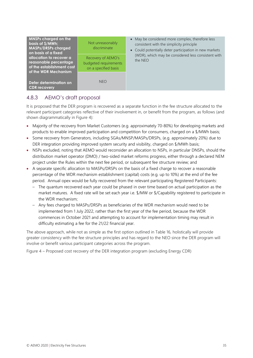| MNSPs charged on the<br>basis of \$/MWh;<br><b>MASPs/DRSPs charged</b><br>on basis of a fixed         | Not unreasonably<br>discriminate                                    | • May be considered more complex, therefore less<br>consistent with the simplicity principle<br>• Could potentially deter participation in new markets |
|-------------------------------------------------------------------------------------------------------|---------------------------------------------------------------------|--------------------------------------------------------------------------------------------------------------------------------------------------------|
| allocation to recover a<br>reasonable percentage<br>of the establishment cost<br>of the WDR Mechanism | Recovery of AEMO's<br>budgeted requirements<br>on a specified basis | (WDR), which may be considered less consistent with<br>the NEO                                                                                         |
| Defer determination on<br><b>CDR</b> recovery                                                         | <b>NEO</b>                                                          |                                                                                                                                                        |

## 4.8.3 AEMO's draft proposal

It is proposed that the DER program is recovered as a separate function in the fee structure allocated to the relevant participant categories reflective of their involvement in, or benefit from the program, as follows (and shown diagrammatically in Figure 4):

- Majority of the recovery from Market Customers (e.g. approximately 70-80%) for developing markets and products to enable improved participation and competition for consumers, charged on a \$/MWh basis;
- Some recovery from Generators, including SGAs/MNSP/MASPs/DRSPs, (e.g. approximately 20%) due to DER integration providing improved system security and visibility, charged on \$/MWh basis;
- NSPs excluded, noting that AEMO would reconsider an allocation to NSPs, in particular DNSPs, should the distribution market operator (DMO) / two-sided market reforms progress, either through a declared NEM project under the Rules within the next fee period, or subsequent fee structure review; and
- A separate specific allocation to MASPs/DRSPs on the basis of a fixed charge to recover a reasonable percentage of the WDR mechanism establishment (capital) costs (e.g. up to 10%) at the end of the fee period. Annual opex would be fully recovered from the relevant participating Registered Participants:
	- The quantum recovered each year could be phased in over time based on actual participation as the market matures. A fixed rate will be set each year i.e. \$/MW or \$/Capability registered to participate in the WDR mechanism;
	- Any fees charged to MASPs/DRSPs as beneficiaries of the WDR mechanism would need to be implemented from 1 July 2022, rather than the first year of the fee period, because the WDR commences in October 2021 and attempting to account for implementation timing may result in difficulty estimating a fee for the 21/22 financial year.

The above approach, while not as simple as the first option outlined in Table 16, holistically will provide greater consistency with the fee structure principles and has regard to the NEO since the DER program will involve or benefit various participant categories across the program.

Figure 4 – Proposed cost recovery of the DER integration program (excluding Energy CDR)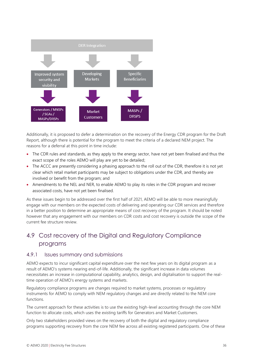

Additionally, it is proposed to defer a determination on the recovery of the Energy CDR program for the Draft Report, although there is potential for the program to meet the criteria of a declared NEM project. The reasons for a deferral at this point in time include:

- The CDR rules and standards, as they apply to the energy sector, have not yet been finalised and thus the exact scope of the roles AEMO will play are yet to be detailed;
- The ACCC are presently considering a phasing approach to the roll out of the CDR, therefore it is not yet clear which retail market participants may be subject to obligations under the CDR, and thereby are involved or benefit from the program; and
- Amendments to the NEL and NER, to enable AEMO to play its roles in the CDR program and recover associated costs, have not yet been finalised.

As these issues begin to be addressed over the first half of 2021, AEMO will be able to more meaningfully engage with our members on the expected costs of delivering and operating our CDR services and therefore in a better position to determine an appropriate means of cost recovery of the program. It should be noted however that any engagement with our members on CDR costs and cost recovery is outside the scope of the current fee structure review.

## <span id="page-35-0"></span>4.9 Cost recovery of the Digital and Regulatory Compliance programs

#### 4.9.1 Issues summary and submissions

AEMO expects to incur significant capital expenditure over the next few years on its digital program as a result of AEMO's systems nearing end-of-life. Additionally, the significant increase in data volumes necessitates an increase in computational capability, analytics, design, and digitalisation to support the realtime operation of AEMO's energy systems and markets.

Regulatory compliance programs are changes required to market systems, processes or regulatory instruments for AEMO to comply with NEM regulatory changes and are directly related to the NEM core functions.

The current approach for these activities is to use the existing high-level accounting through the core NEM function to allocate costs, which uses the existing tariffs for Generators and Market Customers.

Only two stakeholders provided views on the recovery of both the digital and regulatory compliance programs supporting recovery from the core NEM fee across all existing registered participants. One of these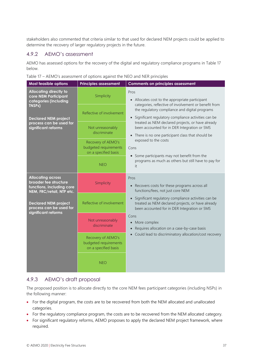stakeholders also commented that criteria similar to that used for declared NEM projects could be applied to determine the recovery of larger regulatory projects in the future.

#### 4.9.2 AEMO's assessment

AEMO has assessed options for the recovery of the digital and regulatory compliance programs in Table 17 below.

Table 17 – AEMO's assessment of options against the NEO and NER principles

| Most feasible options                                                                                                   | <b>Principles assessment</b>                                        | <b>Comments on principles assessment</b>                                                                                                                              |
|-------------------------------------------------------------------------------------------------------------------------|---------------------------------------------------------------------|-----------------------------------------------------------------------------------------------------------------------------------------------------------------------|
| <b>Allocating directly to</b><br>core NEM Participant<br>categories (including<br>TNSPs)<br><b>Declared NEM project</b> | Simplicity                                                          | Pros<br>• Allocates cost to the appropriate participant                                                                                                               |
|                                                                                                                         | Reflective of involvement                                           | categories, reflective of involvement or benefit from<br>the regulatory compliance and digital programs<br>• Significant regulatory compliance activities can be      |
| process can be used for<br>significant reforms                                                                          | Not unreasonably<br>discriminate                                    | treated as NEM declared projects, or have already<br>been accounted for in DER Integration or 5MS<br>There is no one participant class that should be<br>$\bullet$    |
|                                                                                                                         | Recovery of AEMO's<br>budgeted requirements<br>on a specified basis | exposed to the costs<br>Cons                                                                                                                                          |
|                                                                                                                         | <b>NEO</b>                                                          | Some participants may not benefit from the<br>$\bullet$<br>programs as much as others but still have to pay for<br>it                                                 |
| <b>Allocating across</b><br>broader fee structure<br>functions, including core<br>NEM, FRC/retail, NTP etc.             | Simplicity                                                          | Pros<br>Recovers costs for these programs across all<br>$\bullet$<br>functions/fees, not just core NEM                                                                |
| <b>Declared NEM project</b><br>process can be used for                                                                  | Reflective of involvement                                           | Significant regulatory compliance activities can be<br>$\bullet$<br>treated as NEM declared projects, or have already<br>been accounted for in DER Integration or 5MS |
| significant reforms                                                                                                     | Not unreasonably<br>discriminate                                    | Cons<br>More complex<br>$\bullet$<br>Requires allocation on a case-by-case basis<br>$\bullet$                                                                         |
|                                                                                                                         | Recovery of AEMO's<br>budgeted requirements<br>on a specified basis | Could lead to discriminatory allocation/cost recovery<br>$\bullet$                                                                                                    |
|                                                                                                                         | <b>NEO</b>                                                          |                                                                                                                                                                       |

## 4.9.3 AEMO's draft proposal

The proposed position is to allocate directly to the core NEM fees participant categories (including NSPs) in the following manner:

- For the digital program, the costs are to be recovered from both the NEM allocated and unallocated categories.
- For the regulatory compliance program, the costs are to be recovered from the NEM allocated category.
- For significant regulatory reforms, AEMO proposes to apply the declared NEM project framework, where required.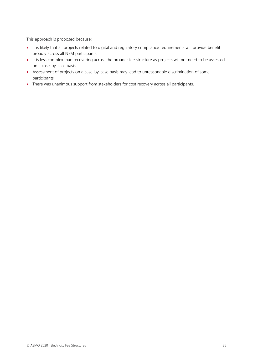This approach is proposed because:

- It is likely that all projects related to digital and regulatory compliance requirements will provide benefit broadly across all NEM participants.
- It is less complex than recovering across the broader fee structure as projects will not need to be assessed on a case-by-case basis.
- Assessment of projects on a case-by-case basis may lead to unreasonable discrimination of some participants.
- There was unanimous support from stakeholders for cost recovery across all participants.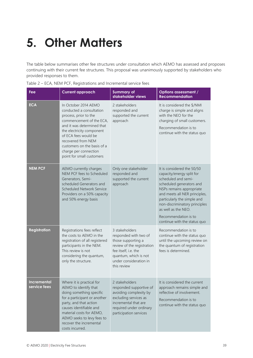# <span id="page-38-0"></span>**5. Other Matters**

The table below summarises other fee structures under consultation which AEMO has assessed and proposes continuing with their current fee structures. This proposal was unanimously supported by stakeholders who provided responses to them.

| Fee                                | <b>Current approach</b>                                                                                                                                                                                                                                                                             | <b>Summary of</b><br>stakeholder views                                                                                                                                                | <b>Options assessment /</b><br><b>Recommendation</b>                                                                                                                                                                                                                                                                   |
|------------------------------------|-----------------------------------------------------------------------------------------------------------------------------------------------------------------------------------------------------------------------------------------------------------------------------------------------------|---------------------------------------------------------------------------------------------------------------------------------------------------------------------------------------|------------------------------------------------------------------------------------------------------------------------------------------------------------------------------------------------------------------------------------------------------------------------------------------------------------------------|
| <b>ECA</b>                         | In October 2014 AEMO<br>conducted a consultation<br>process, prior to the<br>commencement of the ECA,<br>and it was determined that<br>the electricity component<br>of ECA fees would be<br>recovered from NEM<br>customers on the basis of a<br>charge per connection<br>point for small customers | 2 stakeholders<br>responded and<br>supported the current<br>approach                                                                                                                  | It is considered the \$/NMI<br>charge is simple and aligns<br>with the NEO for the<br>charging of small customers.<br>Recommendation is to<br>continue with the status quo                                                                                                                                             |
| <b>NEM PCF</b>                     | AEMO currently charges<br>NEM PCF fees to Scheduled<br>Generators, Semi-<br>scheduled Generators and<br>Scheduled Network Service<br>Providers on a 50% capacity<br>and 50% energy basis                                                                                                            | Only one stakeholder<br>responded and<br>supported the current<br>approach                                                                                                            | It is considered the 50/50<br>capacity/energy split for<br>scheduled and semi-<br>scheduled generators and<br>NSPs remains appropriate<br>and meets all NER principles,<br>particularly the simple and<br>non-discriminatory principles<br>as well as the NEO.<br>Recommendation is to<br>continue with the status quo |
| <b>Registration</b>                | Registrations fees reflect<br>the costs to AEMO in the<br>registration of all registered<br>participants in the NEM.<br>This review is not<br>considering the quantum,<br>only the structure.                                                                                                       | 3 stakeholders<br>responded with two of<br>those supporting a<br>review of the registration<br>fee itself, i.e. the<br>quantum, which is not<br>under consideration in<br>this review | Recommendation is to<br>continue with the status quo<br>until the upcoming review on<br>the quantum of registration<br>fees is determined.                                                                                                                                                                             |
| <b>Incremental</b><br>service fees | Where it is practical for<br>AEMO to identify that<br>doing something specific<br>for a participant or another<br>party, and that action<br>causes identifiable and<br>material costs for AEMO,<br>AEMO seeks to levy fees to<br>recover the incremental<br>costs incurred.                         | 2 stakeholders<br>responded supportive of<br>avoiding complexity by<br>excluding services as<br>incremental that are<br>required under ordinary<br>participation services             | It is considered the current<br>approach remains simple and<br>reflective of involvement.<br>Recommendation is to<br>continue with the status quo                                                                                                                                                                      |

|  | Table 2 - ECA, NEM PCF, Registrations and Incremental service fees |  |
|--|--------------------------------------------------------------------|--|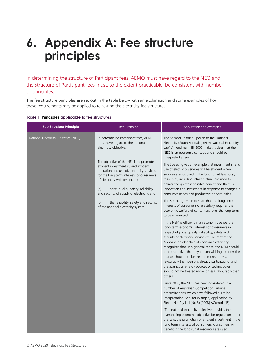# <span id="page-39-0"></span>**6. Appendix A: Fee structure principles**

In determining the structure of Participant fees, AEMO must have regard to the NEO and the structure of Participant fees must, to the extent practicable, be consistent with number of principles.

The fee structure principles are set out in the table below with an explanation and some examples of how these requirements may be applied to reviewing the electricity fee structure.

| <b>Fee Structure Principle</b>       | Requirement                                                                                                                                                                                                                                                                                                                                                                                                      | Application and examples                                                                                                                                                                                                                                                                                                                                                                                                                                                                                                                                                                                          |
|--------------------------------------|------------------------------------------------------------------------------------------------------------------------------------------------------------------------------------------------------------------------------------------------------------------------------------------------------------------------------------------------------------------------------------------------------------------|-------------------------------------------------------------------------------------------------------------------------------------------------------------------------------------------------------------------------------------------------------------------------------------------------------------------------------------------------------------------------------------------------------------------------------------------------------------------------------------------------------------------------------------------------------------------------------------------------------------------|
| National Electricity Objective (NEO) | In determining Participant fees, AEMO<br>must have regard to the national<br>electricity objective.<br>The objective of the NEL is to promote<br>efficient investment in, and efficient<br>operation and use of, electricity services<br>for the long term interests of consumers<br>of electricity with respect to-<br>price, quality, safety, reliability<br>(a)<br>and security of supply of electricity; and | The Second Reading Speech to the National<br>Electricity (South Australia) (New National Electricity<br>Law) Amendment Bill 2005 makes it clear that the<br>NEO is an economic concept and should be<br>interpreted as such.<br>The Speech gives an example that investment in and<br>use of electricity services will be efficient when<br>services are supplied in the long run at least cost,<br>resources, including infrastructure, are used to<br>deliver the greatest possible benefit and there is<br>innovation and investment in response to changes in<br>consumer needs and productive opportunities. |
|                                      | the reliability, safety and security<br>(b)<br>of the national electricity system                                                                                                                                                                                                                                                                                                                                | The Speech goes on to state that the long-term<br>interests of consumers of electricity requires the<br>economic welfare of consumers, over the long term,<br>to be maximised.                                                                                                                                                                                                                                                                                                                                                                                                                                    |
|                                      |                                                                                                                                                                                                                                                                                                                                                                                                                  | If the NEM is efficient in an economic sense, the<br>long-term economic interests of consumers in<br>respect of price, quality, reliability, safety and<br>security of electricity services will be maximised.<br>Applying an objective of economic efficiency<br>recognises that, in a general sense, the NEM should<br>be competitive, that any person wishing to enter the<br>market should not be treated more, or less,<br>favourably than persons already participating, and<br>that particular energy sources or technologies<br>should not be treated more, or less, favourably than<br>others.           |
|                                      |                                                                                                                                                                                                                                                                                                                                                                                                                  | Since 2006, the NEO has been considered in a<br>number of Australian Competition Tribunal<br>determinations, which have followed a similar<br>interpretation. See, for example, Application by<br>ElectraNet Pty Ltd (No 3) [2008] ACompT [15]:                                                                                                                                                                                                                                                                                                                                                                   |
|                                      |                                                                                                                                                                                                                                                                                                                                                                                                                  | "The national electricity objective provides the<br>overarching economic objective for regulation under<br>the Law: the promotion of efficient investment in the<br>long term interests of consumers. Consumers will<br>benefit in the long run if resources are used                                                                                                                                                                                                                                                                                                                                             |

#### **Table 1 Principles applicable to fee structures**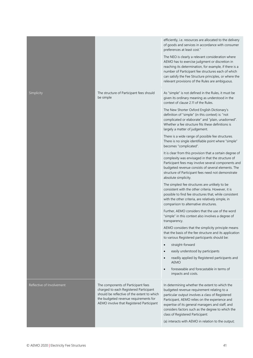|                           |                                                                                                                                                                                                                  | efficiently, i.e. resources are allocated to the delivery<br>of goods and services in accordance with consumer<br>preferences at least cost."<br>The NEO is clearly a relevant consideration where<br>AEMO has to exercise judgment or discretion in<br>reaching its determination, for example, if there is a<br>number of Participant fee structures each of which<br>can satisfy the Fee Structure principles, or where the<br>relevant provisions of the Rules are ambiguous.                                                                                                                                                                                                                                                                                                                                                                                                                                                                                                                                                                                                                                                                                                                                                                                                                                                                                                                                                                                                                                                                                                                           |
|---------------------------|------------------------------------------------------------------------------------------------------------------------------------------------------------------------------------------------------------------|-------------------------------------------------------------------------------------------------------------------------------------------------------------------------------------------------------------------------------------------------------------------------------------------------------------------------------------------------------------------------------------------------------------------------------------------------------------------------------------------------------------------------------------------------------------------------------------------------------------------------------------------------------------------------------------------------------------------------------------------------------------------------------------------------------------------------------------------------------------------------------------------------------------------------------------------------------------------------------------------------------------------------------------------------------------------------------------------------------------------------------------------------------------------------------------------------------------------------------------------------------------------------------------------------------------------------------------------------------------------------------------------------------------------------------------------------------------------------------------------------------------------------------------------------------------------------------------------------------------|
| Simplicity                | The structure of Participant fees should<br>be simple                                                                                                                                                            | As "simple" is not defined in the Rules, it must be<br>given its ordinary meaning as understood in the<br>context of clause 2.11 of the Rules.<br>The New Shorter Oxford English Dictionary's<br>definition of "simple" (in this context) is: "not<br>complicated or elaborate" and "plain, unadorned".<br>Whether a fee structure fits these definitions is<br>largely a matter of judgement.<br>There is a wide range of possible fee structures.<br>There is no single identifiable point where "simple"<br>becomes "complicated".<br>It is clear from this provision that a certain degree of<br>complexity was envisaged in that the structure of<br>Participant fees may involve several components and<br>budgeted revenue consists of several elements. The<br>structure of Participant fees need not demonstrate<br>absolute simplicity.<br>The simplest fee structures are unlikely to be<br>consistent with the other criteria. However, it is<br>possible to find fee structures that, while consistent<br>with the other criteria, are relatively simple, in<br>comparison to alternative structures.<br>Further, AEMO considers that the use of the word<br>"simple" in this context also involves a degree of<br>transparency.<br>AEMO considers that the simplicity principle means<br>that the basis of the fee structure and its application<br>to various Registered participants should be:<br>straight-forward<br>easily understood by participants<br>readily applied by Registered participants and<br><b>AEMO</b><br>foreseeable and forecastable in terms of<br>impacts and costs. |
| Reflective of Involvement | The components of Participant fees<br>charged to each Registered Participant<br>should be reflective of the extent to which<br>the budgeted revenue requirements for<br>AEMO involve that Registered Participant | In determining whether the extent to which the<br>budgeted revenue requirement relating to a<br>particular output involves a class of Registered<br>Participant, AEMO relies on the experience and<br>expertise of its general managers and staff, and<br>considers factors such as the degree to which the<br>class of Registered Participant:<br>(a) interacts with AEMO in relation to the output;                                                                                                                                                                                                                                                                                                                                                                                                                                                                                                                                                                                                                                                                                                                                                                                                                                                                                                                                                                                                                                                                                                                                                                                                       |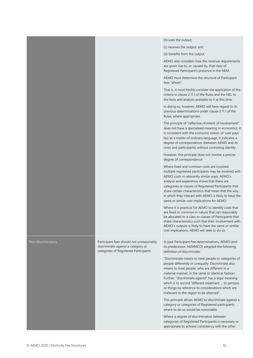|                    |                                                                                                                         | (b) uses the output;                                                                                                                                                                                                                                                                                                                                                                                                               |
|--------------------|-------------------------------------------------------------------------------------------------------------------------|------------------------------------------------------------------------------------------------------------------------------------------------------------------------------------------------------------------------------------------------------------------------------------------------------------------------------------------------------------------------------------------------------------------------------------|
|                    |                                                                                                                         | (c) receives the output; and                                                                                                                                                                                                                                                                                                                                                                                                       |
|                    |                                                                                                                         | (d) benefits from the output.                                                                                                                                                                                                                                                                                                                                                                                                      |
|                    |                                                                                                                         | AEMO also considers how the revenue requirements<br>are given rise to, or caused by, that class of<br>Registered Participant's presence in the NEM.                                                                                                                                                                                                                                                                                |
|                    |                                                                                                                         | AEMO must determine the structure of Participant<br>fees "afresh".                                                                                                                                                                                                                                                                                                                                                                 |
|                    |                                                                                                                         | That is, it must freshly consider the application of the<br>criteria in clause 2.11.1 of the Rules and the NEL to<br>the facts and analysis available to it at this time.                                                                                                                                                                                                                                                          |
|                    |                                                                                                                         | In doing so, however, AEMO will have regard to its<br>previous determinations under clause 2.11.1 of the<br>Rules, where appropriate.                                                                                                                                                                                                                                                                                              |
|                    |                                                                                                                         | The principle of "reflective of extent of involvement"<br>does not have a specialised meaning in economics. It<br>is consistent with the economic notion of 'user pays'<br>but as a matter of ordinary language, it indicates a<br>degree of correspondence (between AEMO and its<br>costs and participants) without connoting identity.                                                                                           |
|                    |                                                                                                                         | However, this principle does not involve a precise<br>degree of correspondence.                                                                                                                                                                                                                                                                                                                                                    |
|                    |                                                                                                                         | Where fixed and common costs are involved,<br>multiple registered participants may be involved with<br>AEMO costs in relevantly similar ways. AEMO's<br>analysis and experience shows that there are<br>categories or classes of Registered Participants that<br>share certain characteristics that mean that the way<br>in which they interact with AEMO is likely to have the<br>same or similar cost implications for AEMO.     |
|                    |                                                                                                                         | Where it is practical for AEMO to identify costs that<br>are fixed or common in nature that can reasonably<br>be allocated to a class or classes of Participants that<br>share characteristics such that their involvement with<br>AEMO's outputs is likely to have the same or similar<br>cost implications, AEMO will seek to do so.                                                                                             |
| Non-discriminatory | Participant fees should not unreasonably<br>discriminate against a category or<br>categories of Registered Participants | In past Participant Fee determinations, AEMO (and<br>its predecessor, NEMMCO) adopted the following<br>definition of discriminate:                                                                                                                                                                                                                                                                                                 |
|                    |                                                                                                                         | "Discriminate means to treat people or categories of<br>people differently or unequally. Discriminate also<br>means to treat people, who are different in a<br>material manner, in the same or identical fashion.<br>Further, "discriminate against" has a legal meaning<br>which is to accord "different treatment  to persons<br>or things by reference to considerations which are<br>irrelevant to the object to be attained". |
|                    |                                                                                                                         | This principle allows AEMO to discriminate against a<br>category or categories of Registered participants<br>where to do so would be reasonable.                                                                                                                                                                                                                                                                                   |
|                    |                                                                                                                         | Where a degree of discrimination between<br>categories of Registered Participants is necessary or<br>appropriate to achieve consistency with the other                                                                                                                                                                                                                                                                             |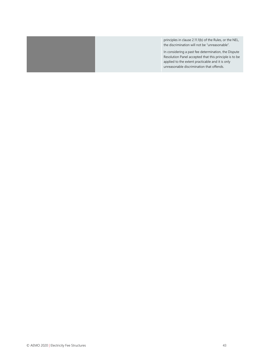|  | principles in clause 2.11.1(b) of the Rules, or the NEL,<br>the discrimination will not be "unreasonable".                                                                                                      |
|--|-----------------------------------------------------------------------------------------------------------------------------------------------------------------------------------------------------------------|
|  | In considering a past fee determination, the Dispute<br>Resolution Panel accepted that this principle is to be<br>applied to the extent practicable and it is only<br>unreasonable discrimination that offends. |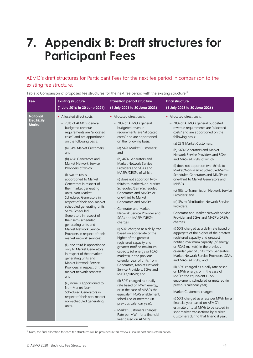## <span id="page-43-0"></span>**7. Appendix B: Draft structures for Participant Fees**

## AEMO's draft structures for Participant Fees for the next fee period in comparison to the existing fee structure.

Table x: Comparison of proposed fee structures for the next fee period with the existing structure<sup>12</sup>

| Fee                                   | <b>Existing structure</b>                                                                                                                                                                                                                                                                                                                                                                                                                                                                                                            | <b>Transition period structure</b>                                                                                                                                                                                                                                                                                                                                                                                                                                                                                                                                                                                                     | <b>Final structure</b>                                                                                                                                                                                                                                                                                                                                                                                                                                                                                                                                                                                                                                                                                                                                                                |
|---------------------------------------|--------------------------------------------------------------------------------------------------------------------------------------------------------------------------------------------------------------------------------------------------------------------------------------------------------------------------------------------------------------------------------------------------------------------------------------------------------------------------------------------------------------------------------------|----------------------------------------------------------------------------------------------------------------------------------------------------------------------------------------------------------------------------------------------------------------------------------------------------------------------------------------------------------------------------------------------------------------------------------------------------------------------------------------------------------------------------------------------------------------------------------------------------------------------------------------|---------------------------------------------------------------------------------------------------------------------------------------------------------------------------------------------------------------------------------------------------------------------------------------------------------------------------------------------------------------------------------------------------------------------------------------------------------------------------------------------------------------------------------------------------------------------------------------------------------------------------------------------------------------------------------------------------------------------------------------------------------------------------------------|
|                                       | (1 July 2016 to 30 June 2021)                                                                                                                                                                                                                                                                                                                                                                                                                                                                                                        | (1 July 2021 to 30 June 2023)                                                                                                                                                                                                                                                                                                                                                                                                                                                                                                                                                                                                          | (1 July 2023 to 30 June 2026)                                                                                                                                                                                                                                                                                                                                                                                                                                                                                                                                                                                                                                                                                                                                                         |
| <b>National</b><br><b>Electricity</b> | • Allocated direct costs:                                                                                                                                                                                                                                                                                                                                                                                                                                                                                                            | • Allocated direct costs:                                                                                                                                                                                                                                                                                                                                                                                                                                                                                                                                                                                                              | • Allocated direct costs:                                                                                                                                                                                                                                                                                                                                                                                                                                                                                                                                                                                                                                                                                                                                                             |
| Market                                | - 70% of AEMO's general<br>budgeted revenue<br>requirements are "allocated<br>costs" and are apportioned<br>on the following basis:<br>(a) 54% Market Customers;                                                                                                                                                                                                                                                                                                                                                                     | - 70% of AEMO's general<br>budgeted revenue<br>requirements are "allocated<br>costs" and are apportioned<br>on the following basis:<br>(a) 54% Market Customers;                                                                                                                                                                                                                                                                                                                                                                                                                                                                       | - 70% of AEMO's general budgeted<br>revenue requirements are "allocated<br>costs" and are apportioned on the<br>following basis:<br>(a) 23% Market Customers;<br>(b) 56% Generators and Market                                                                                                                                                                                                                                                                                                                                                                                                                                                                                                                                                                                        |
|                                       | (b) 46% Generators and<br>Market Network Service<br>Providers of which:<br>(i) two-thirds is<br>apportioned to Market<br>Generators in respect of<br>their market generating<br>units, Non-Market<br>Scheduled Generators in<br>respect of their non-market<br>scheduled generating units,<br>Semi-Scheduled                                                                                                                                                                                                                         | (b) 46% Generators and<br>Market Network Service<br>Providers and SGAs and<br>MASPs/DRSPs of which:<br>(i) does not apportion two-<br>thirds to Market/Non-Market<br>Scheduled/Semi-Scheduled<br>Generators and MNSPs or<br>one-third to Market<br>Generators and MNSPs.<br>- Generator and Market<br>Network Service Provider and                                                                                                                                                                                                                                                                                                     | Network Service Providers and SGAs<br>and MASPs/DRSPs of which:<br>(i) does not apportion two-thirds to<br>Market/Non-Market Scheduled/Semi-<br>Scheduled Generators and MNSPs or<br>one-third to Market Generators and<br>MNSPs;<br>(c) 18% to Transmission Network Service<br>Providers; and<br>(d) 3% to Distribution Network Service<br>Providers.<br>- Generator and Market Network Service                                                                                                                                                                                                                                                                                                                                                                                      |
|                                       | Generators in respect of<br>their semi-scheduled<br>generating units and<br>Market Network Service<br>Providers in respect of their<br>market network services;<br>(ii) one-third is apportioned<br>only to Market Generators<br>in respect of their market<br>generating units and<br>Market Network Service<br>Providers in respect of their<br>market network services;<br>and<br>(iii) none is apportioned to<br>Non-Market Non-<br>Scheduled Generators in<br>respect of their non-market<br>non-scheduled generating<br>units. | SGAs and MASPs/DRSPs<br>charges:<br>(i) 50% charged as a daily rate<br>based on aggregate of the<br>higher of the greatest<br>registered capacity and<br>greatest notified maximum<br>capacity (of energy or FCAS<br>markets) in the previous<br>calendar year of units from<br>Generators, Market Network<br>Service Providers, SGAs and<br>MASPs/DRSPs; and<br>(ii) 50% charged as a daily<br>rate based on MWh energy,<br>or in the case of MASPs the<br>equivalent FCAS enablement,<br>scheduled or metered (in<br>previous calendar year).<br>- Market Customers charges:<br>Rate per MWh for a financial<br>year based on AEMO's | Provider and SGAs and MASPs/DRSPs<br>charges:<br>(i) 50% charged as a daily rate based on<br>aggregate of the higher of the greatest<br>registered capacity and greatest<br>notified maximum capacity (of energy<br>or FCAS markets) in the previous<br>calendar year of units from Generators,<br>Market Network Service Providers, SGAs<br>and MASPs/DRSPs; and<br>(ii) 50% charged as a daily rate based<br>on MWh energy, or in the case of<br>MASPs the equivalent FCAS<br>enablement, scheduled or metered (in<br>previous calendar year).<br>- Market Customers charges:<br>(i) 50% charged as a rate per MWh for a<br>financial year based on AEMO's<br>estimate of total MWh to be settled in<br>spot market transactions by Market<br>Customers during that financial year. |

<sup>&</sup>lt;sup>12</sup> Note, the final allocation for each fee structures will be provided in this review's Final Report and Determination.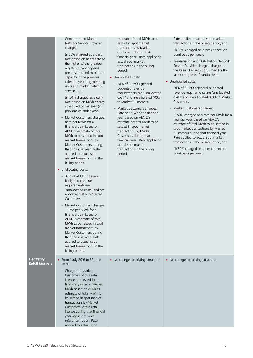|                                             | - Generator and Market<br>Network Service Provider<br>charges:<br>(i) 50% charged as a daily<br>rate based on aggregate of<br>the higher of the greatest<br>registered capacity and<br>greatest notified maximum<br>capacity in the previous<br>calendar year of generating<br>units and market network<br>services; and<br>(ii) 50% charged as a daily<br>rate based on MWh energy<br>scheduled or metered (in<br>previous calendar year).<br>- Market Customers charges:<br>Rate per MWh for a<br>financial year based on<br>AEMO's estimate of total<br>MWh to be settled in spot<br>market transactions by<br>Market Customers during<br>that financial year. Rate<br>applied to actual spot<br>market transactions in the<br>billing period.<br>• Unallocated costs:<br>- 30% of AEMO's general<br>budgeted revenue<br>requirements are<br>"unallocated costs" and are<br>allocated 100% to Market<br>Customers.<br>- Market Customers charges<br>- Rate per MWh for a<br>financial year based on<br>AEMO's estimate of total<br>MWh to be settled in spot<br>market transactions by<br>Market Customers during<br>that financial year. Rate<br>applied to actual spot<br>market transactions in the<br>billing period. | estimate of total MWh to be<br>settled in spot market<br>transactions by Market<br>Customers during that<br>financial year. Rate applied to<br>actual spot market<br>transactions in the billing<br>period.<br>• Unallocated costs:<br>- 30% of AEMO's general<br>budgeted revenue<br>requirements are "unallocated<br>costs" and are allocated 100%<br>to Market Customers.<br>- Market Customers charges:<br>Rate per MWh for a financial<br>year based on AEMO's<br>estimate of total MWh to be<br>settled in spot market<br>transactions by Market<br>Customers during that<br>financial year. Rate applied to<br>actual spot market<br>transactions in the billing<br>period. | Rate applied to actual spot market<br>transactions in the billing period; and<br>(ii) 50% charged on a per connection<br>point basis per week.<br>- Transmission and Distribution Network<br>Service Provider charges: charged on<br>the basis of energy consumed for the<br>latest completed financial year.<br>• Unallocated costs:<br>- 30% of AEMO's general budgeted<br>revenue requirements are "unallocated<br>costs" and are allocated 100% to Market<br>Customers.<br>- Market Customers charges:<br>(i) 50% charged as a rate per MWh for a<br>financial year based on AEMO's<br>estimate of total MWh to be settled in<br>spot market transactions by Market<br>Customers during that financial year.<br>Rate applied to actual spot market<br>transactions in the billing period; and<br>(ii) 50% charged on a per connection<br>point basis per week. |
|---------------------------------------------|------------------------------------------------------------------------------------------------------------------------------------------------------------------------------------------------------------------------------------------------------------------------------------------------------------------------------------------------------------------------------------------------------------------------------------------------------------------------------------------------------------------------------------------------------------------------------------------------------------------------------------------------------------------------------------------------------------------------------------------------------------------------------------------------------------------------------------------------------------------------------------------------------------------------------------------------------------------------------------------------------------------------------------------------------------------------------------------------------------------------------------------------------------------------------------------------------------------------------|------------------------------------------------------------------------------------------------------------------------------------------------------------------------------------------------------------------------------------------------------------------------------------------------------------------------------------------------------------------------------------------------------------------------------------------------------------------------------------------------------------------------------------------------------------------------------------------------------------------------------------------------------------------------------------|--------------------------------------------------------------------------------------------------------------------------------------------------------------------------------------------------------------------------------------------------------------------------------------------------------------------------------------------------------------------------------------------------------------------------------------------------------------------------------------------------------------------------------------------------------------------------------------------------------------------------------------------------------------------------------------------------------------------------------------------------------------------------------------------------------------------------------------------------------------------|
| <b>Electricity</b><br><b>Retail Markets</b> | • From 1 July 2016 to 30 June<br>2019:<br>- Charged to Market<br>Customers with a retail<br>licence and levied for a<br>financial year at a rate per<br>MWh based on AEMO's<br>estimate of total MWh to<br>be settled in spot market<br>transactions by Market<br>Customers with a retail<br>licence during that financial<br>year against regional<br>reference nodes. Rate<br>applied to actual spot                                                                                                                                                                                                                                                                                                                                                                                                                                                                                                                                                                                                                                                                                                                                                                                                                       | • No change to existing structure.                                                                                                                                                                                                                                                                                                                                                                                                                                                                                                                                                                                                                                                 | • No change to existing structure.                                                                                                                                                                                                                                                                                                                                                                                                                                                                                                                                                                                                                                                                                                                                                                                                                                 |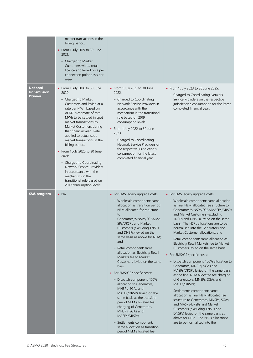|                                                          | market transactions in the<br>billing period.<br>• From 1 July 2019 to 30 June<br>2021:<br>- Charged to Market<br>Customers with a retail<br>licence and levied on a per<br>connection point basis per<br>week.                                                                                                                                                                                                                                                                                                                                       |                                                                                                                                                                                                                                                                                                                                                                                                                                                                                                                                                                                                                                                                                                                                                                                                    |                                                                                                                                                                                                                                                                                                                                                                                                                                                                                                                                                                                                                                                                                                                                                                                                                                                                                                                                                                                                                                                             |
|----------------------------------------------------------|-------------------------------------------------------------------------------------------------------------------------------------------------------------------------------------------------------------------------------------------------------------------------------------------------------------------------------------------------------------------------------------------------------------------------------------------------------------------------------------------------------------------------------------------------------|----------------------------------------------------------------------------------------------------------------------------------------------------------------------------------------------------------------------------------------------------------------------------------------------------------------------------------------------------------------------------------------------------------------------------------------------------------------------------------------------------------------------------------------------------------------------------------------------------------------------------------------------------------------------------------------------------------------------------------------------------------------------------------------------------|-------------------------------------------------------------------------------------------------------------------------------------------------------------------------------------------------------------------------------------------------------------------------------------------------------------------------------------------------------------------------------------------------------------------------------------------------------------------------------------------------------------------------------------------------------------------------------------------------------------------------------------------------------------------------------------------------------------------------------------------------------------------------------------------------------------------------------------------------------------------------------------------------------------------------------------------------------------------------------------------------------------------------------------------------------------|
| <b>National</b><br><b>Transmission</b><br><b>Planner</b> | • From 1 July 2016 to 30 June<br>2020:<br>- Charged to Market<br>Customers and levied at a<br>rate per MWh based on<br>AEMO's estimate of total<br>MWh to be settled in spot<br>market transactions by<br>Market Customers during<br>that financial year. Rate<br>applied to actual spot<br>market transactions in the<br>billing period.<br>• From 1 July 2020 to 30 June<br>2021:<br>- Charged to Coordinating<br>Network Service Providers<br>in accordance with the<br>mechanism in the<br>transitional rule based on<br>2019 consumption levels. | • From 1 July 2021 to 30 June<br>2022:<br>- Charged to Coordinating<br>Network Service Providers in<br>accordance with the<br>mechanism in the transitional<br>rule based on 2019<br>consumption levels.<br>• From 1 July 2022 to 30 June<br>2023:<br>- Charged to Coordinating<br>Network Service Providers on<br>the respective jurisdiction's<br>consumption for the latest<br>completed financial year.                                                                                                                                                                                                                                                                                                                                                                                        | • From 1 July 2023 to 30 June 2025:<br>- Charged to Coordinating Network<br>Service Providers on the respective<br>jurisdiction's consumption for the latest<br>completed financial year.                                                                                                                                                                                                                                                                                                                                                                                                                                                                                                                                                                                                                                                                                                                                                                                                                                                                   |
| 5MS program                                              | $\bullet$ NA                                                                                                                                                                                                                                                                                                                                                                                                                                                                                                                                          | • For 5MS legacy upgrade costs:<br>- Wholesale component: same<br>allocation as transition period<br>NEM allocated fee structure<br>to<br>Generators/MNSPs/SGAs/MA<br>SPs/DRSPs and Market<br><b>Customers (excluding TNSPs)</b><br>and DNSPs) levied on the<br>same basis as above for NEM;<br>and<br>Retail component: same<br>allocation as Electricity Retail<br>Markets fee to Market<br>Customers levied on the same<br>basis.<br>• For 5MS/GS specific costs:<br>- Dispatch component: 100%<br>allocation to Generators,<br>MNSPs, SGAs and<br>MASPs/DRSPs levied on the<br>same basis as the transition<br>period NEM allocated fee<br>charging of Generators,<br>MNSPs, SGAs and<br>MASPs/DRSPs;<br>- Settlements component:<br>same allocation as transition<br>period NEM allocated fee | • For 5MS legacy upgrade costs:<br>- Wholesale component: same allocation<br>as final NEM allocated fee structure to<br>Generators/MNSPs/SGAs/MASPs/DRSPs<br>and Market Customers (excluding<br>TNSPs and DNSPs) levied on the same<br>basis. The NSPs allocations are to be<br>normalised into the Generators and<br>Market Customer allocations; and<br>Retail component: same allocation as<br>$\overline{\phantom{a}}$<br>Electricity Retail Markets fee to Market<br>Customers levied on the same basis.<br>• For 5MS/GS specific costs:<br>- Dispatch component: 100% allocation to<br>Generators, MNSPs, SGAs and<br>MASPs/DRSPs levied on the same basis<br>as the final NEM allocated fee charging<br>of Generators, MNSPs, SGAs and<br>MASPs/DRSPs;<br>Settlements component: same<br>allocation as final NEM allocated fee<br>structure to Generators, MNSPs, SGAs<br>and MASPs/DRSPs and Market<br>Customers (excluding TNSPs and<br>DNSPs) levied on the same basis as<br>above for NEM. The NSPs allocations<br>are to be normalised into the |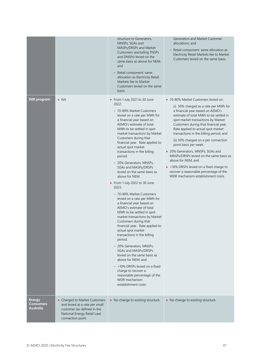|                                                |                                                                                                                                                    | structure to Generators,<br>MNSPs, SGAs and<br>MASPs/DRSPs and Market<br><b>Customers (excluding TNSPs)</b><br>and DNSPs) levied on the<br>same basis as above for NEM;<br>and<br>Retail component: same<br>allocation as Electricity Retail<br>Markets fee to Market<br>Customers levied on the same<br>basis.                                                                                                                                                                                                                                                                                                                                                                                                                                                                                                                                                                                                                                                                                                                                                    | Generators and Market Customer<br>allocations; and<br>- Retail component: same allocation as<br>Electricity Retail Markets fee to Market<br>Customers levied on the same basis.                                                                                                                                                                                                                                                                                                                                                                                                                                                 |
|------------------------------------------------|----------------------------------------------------------------------------------------------------------------------------------------------------|--------------------------------------------------------------------------------------------------------------------------------------------------------------------------------------------------------------------------------------------------------------------------------------------------------------------------------------------------------------------------------------------------------------------------------------------------------------------------------------------------------------------------------------------------------------------------------------------------------------------------------------------------------------------------------------------------------------------------------------------------------------------------------------------------------------------------------------------------------------------------------------------------------------------------------------------------------------------------------------------------------------------------------------------------------------------|---------------------------------------------------------------------------------------------------------------------------------------------------------------------------------------------------------------------------------------------------------------------------------------------------------------------------------------------------------------------------------------------------------------------------------------------------------------------------------------------------------------------------------------------------------------------------------------------------------------------------------|
| <b>DER</b> program                             | $\bullet$ NA                                                                                                                                       | • From 1 July 2021 to 30 June<br>2022:<br>- 70-80% Market Customers<br>levied on a rate per MWh for<br>a financial year based on<br>AEMO's estimate of total<br>MWh to be settled in spot<br>market transactions by Market<br>Customers during that<br>financial year. Rate applied to<br>actual spot market<br>transactions in the billing<br>period.<br>- 20% Generators, MNSPs,<br>SGAs and MASPs/DRSPs<br>levied on the same basis as<br>above for NEM.<br>• From 1 July 2022 to 30 June<br>2023:<br>- 70-80% Market Customers<br>levied on a rate per MWh for<br>a financial year based on<br>AEMO's estimate of total<br>MWh to be settled in spot<br>market transactions by Market<br>Customers during that<br>financial year. Rate applied to<br>actual spot market<br>transactions in the billing<br>period.<br>- 20% Generators, MNSPs,<br>SGAs and MASPs/DRSPs<br>levied on the same basis as<br>above for NEM; and<br>$-$ <10% DRSPs levied on a fixed<br>charge to recover a<br>reasonable percentage of the<br>WDR mechanism<br>establishment costs. | • 70-80% Market Customers levied on:<br>(i) 50% charged as a rate per MWh for<br>a financial year based on AEMO's<br>estimate of total MWh to be settled in<br>spot market transactions by Market<br>Customers during that financial year.<br>Rate applied to actual spot market<br>transactions in the billing period; and<br>(ii) 50% charged on a per connection<br>point basis per week.<br>• 20% Generators, MNSPs, SGAs and<br>MASPs/DRSPs levied on the same basis as<br>above for NEM; and<br>• < 10% DRSPs levied on a fixed charge to<br>recover a reasonable percentage of the<br>WDR mechanism establishment costs. |
| <b>Energy</b><br><b>Consumers</b><br>Australia | • Charged to Market Customers<br>and levied at a rate per small<br>customer (as defined in the<br>National Energy Retail Law)<br>connection point. | • No change to existing structure.                                                                                                                                                                                                                                                                                                                                                                                                                                                                                                                                                                                                                                                                                                                                                                                                                                                                                                                                                                                                                                 | • No change to existing structure.                                                                                                                                                                                                                                                                                                                                                                                                                                                                                                                                                                                              |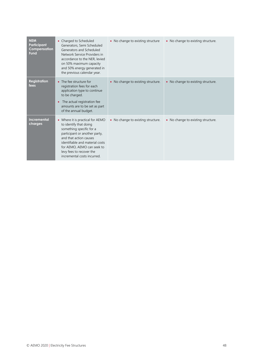| <b>NEM</b><br>Participant<br>Compensation<br><b>Fund</b> | Charged to Scheduled<br>٠<br>Generators, Semi Scheduled<br>Generators and Scheduled<br>Network Service Providers in<br>accordance to the NER, levied<br>on 50% maximum capacity<br>and 50% energy generated in<br>the previous calendar year.                                 | • No change to existing structure  | • No change to existing structure. |
|----------------------------------------------------------|-------------------------------------------------------------------------------------------------------------------------------------------------------------------------------------------------------------------------------------------------------------------------------|------------------------------------|------------------------------------|
| <b>Registration</b><br>fees                              | • The fee structure for<br>registration fees for each<br>application type to continue<br>to be charged.<br>The actual registration fee<br>$\bullet$<br>amounts are to be set as part<br>of the annual budget.                                                                 | • No change to existing structure. | • No change to existing structure. |
| <b>Incremental</b><br>charges                            | • Where it is practical for AEMO<br>to identify that doing<br>something specific for a<br>participant or another party,<br>and that action causes<br>identifiable and material costs<br>for AEMO, AEMO can seek to<br>levy fees to recover the<br>incremental costs incurred. | • No change to existing structure. | • No change to existing structure. |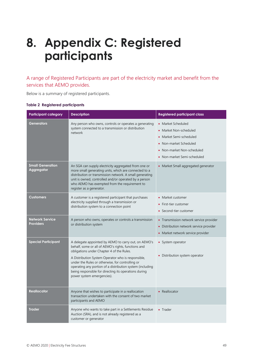# <span id="page-48-0"></span>**8. Appendix C: Registered participants**

A range of Registered Participants are part of the electricity market and benefit from the services that AEMO provides.

Below is a summary of registered participants.

|  |  | <b>Table 2 Registered participants</b> |
|--|--|----------------------------------------|
|--|--|----------------------------------------|

| <b>Participant category</b>                | <b>Description</b>                                                                                                                                                                                                                                                                                                                                                                                                     | <b>Registered participant class</b>                                                                                                                                                |
|--------------------------------------------|------------------------------------------------------------------------------------------------------------------------------------------------------------------------------------------------------------------------------------------------------------------------------------------------------------------------------------------------------------------------------------------------------------------------|------------------------------------------------------------------------------------------------------------------------------------------------------------------------------------|
| Generators                                 | Any person who owns, controls or operates a generating<br>system connected to a transmission or distribution<br>network                                                                                                                                                                                                                                                                                                | • Market Scheduled<br>• Market Non-scheduled<br>Market Semi-scheduled<br>$\bullet$<br>Non-market Scheduled<br>$\bullet$<br>• Non-market Non-scheduled<br>Non-market Semi-scheduled |
| <b>Small Generation</b><br>Aggregator      | An SGA can supply electricity aggregated from one or<br>more small generating units, which are connected to a<br>distribution or transmission network. A small generating<br>unit is owned, controlled and/or operated by a person<br>who AEMO has exempted from the requirement to<br>register as a generator.                                                                                                        | • Market Small aggregated generator                                                                                                                                                |
| <b>Customers</b>                           | A customer is a registered participant that purchases<br>electricity supplied through a transmission or<br>distribution system to a connection point                                                                                                                                                                                                                                                                   | Market customer<br>First-tier customer<br>Second-tier customer<br>$\bullet$                                                                                                        |
| <b>Network Service</b><br><b>Providers</b> | A person who owns, operates or controls a transmission<br>or distribution system                                                                                                                                                                                                                                                                                                                                       | • Transmission network service provider<br>• Distribution network service provider<br>• Market network service provider                                                            |
| <b>Special Participant</b>                 | A delegate appointed by AEMO to carry out, on AEMO's<br>behalf, some or all of AEMO's rights, functions and<br>obligations under Chapter 4 of the Rules.<br>A Distribution System Operator who is responsible,<br>under the Rules or otherwise, for controlling or<br>operating any portion of a distribution system (including<br>being responsible for directing its operations during<br>power system emergencies). | • System operator<br>• Distribution system operator                                                                                                                                |
| Reallocator                                | Anyone that wishes to participate in a reallocation<br>transaction undertaken with the consent of two market<br>participants and AEMO                                                                                                                                                                                                                                                                                  | • Reallocator                                                                                                                                                                      |
| <b>Trader</b>                              | Anyone who wants to take part in a Settlements Residue<br>Auction (SRA), and is not already registered as a<br>customer or generator                                                                                                                                                                                                                                                                                   | • Trader                                                                                                                                                                           |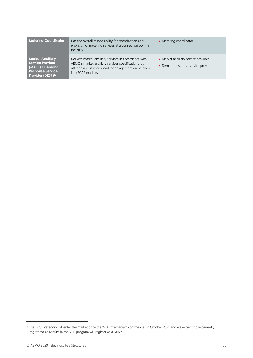| <b>Metering Coordinator</b>                                                                                                       | Has the overall responsibility for coordination and<br>provision of metering services at a connection point in<br>the NEM                                                                    | • Metering coordinator                                                    |
|-----------------------------------------------------------------------------------------------------------------------------------|----------------------------------------------------------------------------------------------------------------------------------------------------------------------------------------------|---------------------------------------------------------------------------|
| <b>Market Ancillary</b><br><b>Service Provider</b><br>(MASP) / Demand<br><b>Response Service</b><br>Provider (DRSP) <sup>13</sup> | Delivers market ancillary services in accordance with<br>AEMO's market ancillary services specifications, by<br>offering a customer's load, or an aggregation of loads<br>into FCAS markets. | • Market ancillary service provider<br>• Demand response service provider |

<sup>&</sup>lt;sup>13</sup> The DRSP category will enter the market once the WDR mechanism commences in October 2021 and we expect those currently registered as MASPs in the VPP program will register as a DRSP.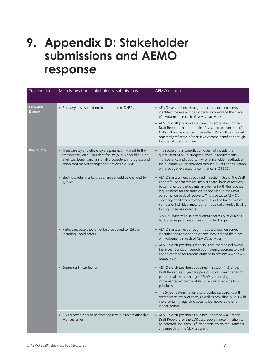## <span id="page-50-0"></span>**9. Appendix D: Stakeholder submissions and AEMO response**

| Stakeholder                       | Main issues from stakeholders' submissions                                                                                                                                                                                                     | AEMO response                                                                                                                                                                                                                                                                                                                                                                                                                                                                   |
|-----------------------------------|------------------------------------------------------------------------------------------------------------------------------------------------------------------------------------------------------------------------------------------------|---------------------------------------------------------------------------------------------------------------------------------------------------------------------------------------------------------------------------------------------------------------------------------------------------------------------------------------------------------------------------------------------------------------------------------------------------------------------------------|
| <b>Essential</b><br><b>Energy</b> | • Recovery base should not be extended to DNSPs                                                                                                                                                                                                | • AEMO's assessment through the cost allocation survey<br>identified the relevant participants involved and their level<br>of involvement in each of AEMO's activities.<br>• AEMO's draft position as outlined in section 4.4.3 of the<br>Draft Report is that for the first 2-years (transition period)<br>NSPs will not be charged. Thereafter, NSPs will be charged<br>separately reflective of their involvement identified through<br>the cost allocation survey.          |
| Red/Lumo                          | • Transparency and efficiency are paramount - want further<br>transparency on \$500M debt facility (AEMO should publish<br>a full cost benefit analysis of all prospective, in progress and<br>completed market changes and projects e.g. 5MS) | • The scope of this consultation does not include the<br>quantum of AEMO's budgeted revenue requirements.<br>Transparency and opportunity for stakeholder feedback on<br>the quantum will be provided through AEMO's consultation<br>on its budget expected to commence in Q1 2021.                                                                                                                                                                                             |
|                                   | • Electricity retail markets fee charge should be changed to<br>\$/MWh                                                                                                                                                                         | • AEMO's assessment as outlined in section 4.6.2 of the Draft<br>Report found that retailer "market share" basis of recovery<br>better reflects a participants involvement with the revenue<br>requirements for this function, as opposed to the MWh<br>consumption basis of recovery. This is because AEMO's<br>electricity retail markets capability is built to handle a total<br>number of individual meters and the actual energies flowing<br>through them is incidental. |
|                                   |                                                                                                                                                                                                                                                | • A \$/NMI basis will also better ensure recovery of AEMO's<br>budgeted requirements than a variable charge.                                                                                                                                                                                                                                                                                                                                                                    |
|                                   | • Participant base should not be broadened to NSPs or<br><b>Metering Coordinators</b>                                                                                                                                                          | • AEMO's assessment through the cost allocation survey<br>identified the relevant participants involved and their level<br>of involvement in each of AEMO's activities.                                                                                                                                                                                                                                                                                                         |
|                                   |                                                                                                                                                                                                                                                | • AEMO's draft position is that NSPs are charged (following<br>the 2-year transition period) but metering coordinators will<br>not be charged for reasons outlined in sections 4.4 and 4.6<br>respectively.                                                                                                                                                                                                                                                                     |
|                                   | • Support a 5-year fee term                                                                                                                                                                                                                    | • AEMO's draft position as outlined in section 4.1.3 of the<br>Draft Report is a 5-year fee period with a 2-year transition<br>period to allow the changes AEMO is proposing to be<br>implemented efficiently while still aligning with the NER<br>principles.                                                                                                                                                                                                                  |
|                                   |                                                                                                                                                                                                                                                | • The 5-year determination also provides participants with<br>greater certainty over costs, as well as providing AEMO with<br>more certainty regarding costs to be recovered over a<br>longer period.                                                                                                                                                                                                                                                                           |
|                                   | • CDR recovery should be from those with direct relationship<br>with customer                                                                                                                                                                  | • AEMO's draft position as outlined in section 4.8.3 of the<br>Draft Report is for the CDR cost recovery determination to<br>be deferred until there is further certainty on requirements<br>and impacts of the CDR program.                                                                                                                                                                                                                                                    |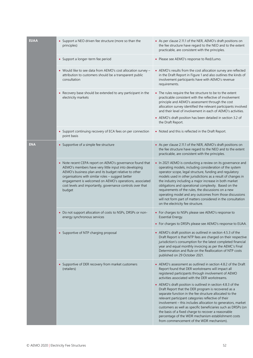| <b>EUAA</b> | • Support a NEO driven fee structure (more so than the<br>principles)                                                                                                                                                                                                                                                                                               | • As per clause 2.11.1 of the NER, AEMO's draft positions on<br>the fee structure have regard to the NEO and to the extent<br>practicable, are consistent with the principles.                                                                                                                                                                                                                                                                                                                                                                                                             |
|-------------|---------------------------------------------------------------------------------------------------------------------------------------------------------------------------------------------------------------------------------------------------------------------------------------------------------------------------------------------------------------------|--------------------------------------------------------------------------------------------------------------------------------------------------------------------------------------------------------------------------------------------------------------------------------------------------------------------------------------------------------------------------------------------------------------------------------------------------------------------------------------------------------------------------------------------------------------------------------------------|
|             | • Support a longer-term fee period                                                                                                                                                                                                                                                                                                                                  | • Please see AEMO's response to Red/Lumo.                                                                                                                                                                                                                                                                                                                                                                                                                                                                                                                                                  |
|             | • Would like to see data from AEMO's cost allocation survey -<br>attribution to customers should be a transparent public<br>consultation                                                                                                                                                                                                                            | • AEMO's results from the cost allocation survey are reflected<br>in the Draft Report in Figure 1 and also outlines the kinds of<br>involvement participants have with AEMO's revenue<br>requirements.                                                                                                                                                                                                                                                                                                                                                                                     |
|             | • Recovery base should be extended to any participant in the<br>electricity markets                                                                                                                                                                                                                                                                                 | • The rules require the fee structure to be to the extent<br>practicable consistent with the reflective of involvement<br>principle and AEMO's assessment through the cost<br>allocation survey identified the relevant participants involved<br>and their level of involvement in each of AEMO's activities.<br>• AEMO's draft position has been detailed in section 3.2 of<br>the Draft Report.                                                                                                                                                                                          |
|             | • Support continuing recovery of ECA fees on per connection<br>point basis                                                                                                                                                                                                                                                                                          | • Noted and this is reflected in the Draft Report.                                                                                                                                                                                                                                                                                                                                                                                                                                                                                                                                         |
| <b>ENA</b>  | • Supportive of a simple fee structure                                                                                                                                                                                                                                                                                                                              | • As per clause 2.11.1 of the NER, AEMO's draft positions on<br>the fee structure have regard to the NEO and to the extent<br>practicable, are consistent with the principles.                                                                                                                                                                                                                                                                                                                                                                                                             |
|             | • Note recent CEPA report on AEMO's governance found that<br>AEMO's members have very little input into developing<br>AEMO's business plan and its budget relative to other<br>organisations with similar roles - suggest better<br>engagement is welcomed on AEMO's operations, associated<br>cost levels and importantly, governance controls over that<br>budget | • In 2021 AEMO is conducting a review on its governance and<br>operating models, including consideration of the system<br>operator scope, legal structure, funding and regulatory<br>models used in other jurisdictions as a result of changes in<br>the industry including a major increase in both market<br>obligations and operational complexity. Based on the<br>requirements of the rules, the discussions on a new<br>operating model and any outcomes from those discussions<br>will not form part of matters considered in the consultation<br>on the electricity fee structure. |
|             | • Do not support allocation of costs to NSPs, DRSPs or non-<br>energy synchronous services                                                                                                                                                                                                                                                                          | • For charges to NSPs please see AEMO's response to<br>Essential Energy.<br>• For charges to DRSPs please see AEMO's response to EUAA.                                                                                                                                                                                                                                                                                                                                                                                                                                                     |
|             |                                                                                                                                                                                                                                                                                                                                                                     |                                                                                                                                                                                                                                                                                                                                                                                                                                                                                                                                                                                            |
|             | • Supportive of NTP charging proposal                                                                                                                                                                                                                                                                                                                               | • AEMO's draft position as outlined in section 4.5.3 of the<br>Draft Report is that NTP fees are charged on their respective<br>jurisdiction's consumption for the latest completed financial<br>year and equal monthly invoicing as per the AEMC's Final<br>Determination and Rule on the Reallocation of NTP costs<br>published on 29 October 2021.                                                                                                                                                                                                                                      |
|             | • Supportive of DER recovery from market customers<br>(retailers)                                                                                                                                                                                                                                                                                                   | • AEMO's assessment as outlined in section 4.8.2 of the Draft<br>Report found that DER workstreams will impact all<br>registered participants through involvement of AEMO<br>activities associated with the DER workstreams.                                                                                                                                                                                                                                                                                                                                                               |
|             |                                                                                                                                                                                                                                                                                                                                                                     | • AEMO's draft position is outlined in section 4.8.3 of the<br>Draft Report that the DER program is recovered as a<br>separate function in the fee structure allocated to the<br>relevant participant categories reflective of their<br>involvement - this includes allocation to generators, market<br>customers as well as specific beneficiaries such as DRSPs (on<br>the basis of a fixed charge to recover a reasonable<br>percentage of the WDR mechanism establishment costs<br>from commencement of the WDR mechanism).                                                            |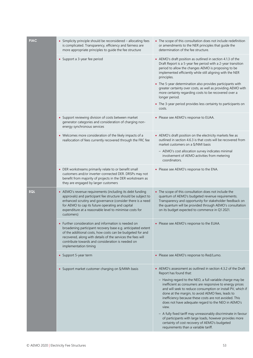| <b>PIAC</b> | • Simplicity principle should be reconsidered - allocating fees<br>is complicated. Transparency, efficiency and fairness are<br>more appropriate principles to guide the fee structure                                                                                                                                          | • The scope of this consultation does not include redefinition<br>or amendments to the NER principles that guide the<br>determination of the fee structure.                                                                                                                                                                                                                                                                                                                                                                                                                                                                                                                        |
|-------------|---------------------------------------------------------------------------------------------------------------------------------------------------------------------------------------------------------------------------------------------------------------------------------------------------------------------------------|------------------------------------------------------------------------------------------------------------------------------------------------------------------------------------------------------------------------------------------------------------------------------------------------------------------------------------------------------------------------------------------------------------------------------------------------------------------------------------------------------------------------------------------------------------------------------------------------------------------------------------------------------------------------------------|
|             | • Support a 3-year fee period                                                                                                                                                                                                                                                                                                   | • AEMO's draft position as outlined in section 4.1.3 of the<br>Draft Report is a 5-year fee period with a 2-year transition<br>period to allow the changes AEMO is proposing to be<br>implemented efficiently while still aligning with the NER<br>principles.<br>• The 5-year determination also provides participants with<br>greater certainty over costs, as well as providing AEMO with<br>more certainty regarding costs to be recovered over a<br>longer period.<br>• The 3-year period provides less certainty to participants on<br>costs.                                                                                                                                |
|             | • Support reviewing division of costs between market<br>generator categories and consideration of charging non-<br>energy synchronous services                                                                                                                                                                                  | • Please see AEMO's response to EUAA.                                                                                                                                                                                                                                                                                                                                                                                                                                                                                                                                                                                                                                              |
|             | • Welcomes more consideration of the likely impacts of a<br>reallocation of fees currently recovered through the FRC fee                                                                                                                                                                                                        | • AEMO's draft position on the electricity markets fee as<br>outlined in section 4.6.3 is that costs will be recovered from<br>market customers on a \$/NMI basis<br>- AEMO's cost allocation survey indicates minimal<br>involvement of AEMO activities from metering                                                                                                                                                                                                                                                                                                                                                                                                             |
|             | • DER workstreams primarily relate to or benefit small<br>customers and/or inverter-connected DER. DRSPs may not<br>benefit from majority of projects in the DER workstream as<br>they are engaged by larger customers                                                                                                          | coordinators.<br>• Please see AEMO's response to the ENA.                                                                                                                                                                                                                                                                                                                                                                                                                                                                                                                                                                                                                          |
| <b>EQL</b>  | • AEMO's revenue requirements (including its debt funding<br>approvals) and participant fee structure should be subject to<br>enhanced scrutiny and governance (consider there is a need<br>for AEMO to cap its future operating and capital<br>expenditure at a reasonable level to minimise costs for<br>customers)           | • The scope of this consultation does not include the<br>quantum of AEMO's budgeted revenue requirements.<br>Transparency and opportunity for stakeholder feedback on<br>the quantum will be provided through AEMO's consultation<br>on its budget expected to commence in Q1 2021.                                                                                                                                                                                                                                                                                                                                                                                                |
|             | • Further consideration and information is needed on<br>broadening participant recovery base e.g. anticipated extent<br>of the additional costs, how costs can be budgeted for and<br>recovered, along with details of the services the fees will<br>contribute towards and consideration is needed on<br>implementation timing | • Please see AEMO's response to the EUAA.                                                                                                                                                                                                                                                                                                                                                                                                                                                                                                                                                                                                                                          |
|             | • Support 5-year term                                                                                                                                                                                                                                                                                                           | • Please see AEMO's response to Red/Lumo.                                                                                                                                                                                                                                                                                                                                                                                                                                                                                                                                                                                                                                          |
|             | • Support market customer charging on \$/MWh basis                                                                                                                                                                                                                                                                              | • AEMO's assessment as outlined in section 4.3.2 of the Draft<br>Report has found that:<br>- Having regard to the NEO, a full variable charge may be<br>inefficient as consumers are responsive to energy prices<br>and will seek to reduce consumption or install PV, which if<br>done at the margin, to avoid AEMO fees, leads to<br>inefficiency because these costs are not avoided. This<br>does not have adequate regard to the NEO in AEMO's<br>view.<br>- A fully fixed tariff may unreasonably discriminate in favour<br>of participants with large loads, however provides more<br>certainty of cost recovery of AEMO's budgeted<br>requirements than a variable tariff. |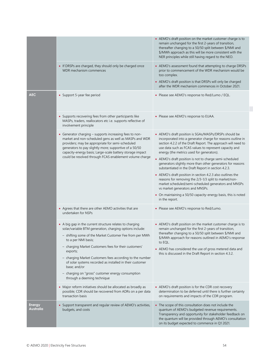|                            |                                                                                                                                                                                                                                                                                                                                                         | • AEMO's draft position on the market customer charge is to<br>remain unchanged for the first 2-years of transition,<br>thereafter changing to a 50/50 split between \$/NMI and<br>\$/MWh approach as this will be more consistent with the<br>NER principles while still having regard to the NEO.                                                                         |
|----------------------------|---------------------------------------------------------------------------------------------------------------------------------------------------------------------------------------------------------------------------------------------------------------------------------------------------------------------------------------------------------|-----------------------------------------------------------------------------------------------------------------------------------------------------------------------------------------------------------------------------------------------------------------------------------------------------------------------------------------------------------------------------|
|                            | • If DRSPs are charged, they should only be charged once<br>WDR mechanism commences                                                                                                                                                                                                                                                                     | • AEMO's assessment found that attempting to charge DRSPs<br>prior to commencement of the WDR mechanism would be<br>too complex.<br>• AEMO's draft position is that DRSPs will only be charged<br>after the WDR mechanism commences in October 2021.                                                                                                                        |
| <b>AEC</b>                 | • Support 5-year fee period                                                                                                                                                                                                                                                                                                                             | • Please see AEMO's response to Red/Lumo / EQL.                                                                                                                                                                                                                                                                                                                             |
|                            | • Supports recovering fees from other participants like<br>MASPs, traders, reallocators etc i.e. supports reflective of<br>involvement principle                                                                                                                                                                                                        | • Please see AEMO's response to EUAA.                                                                                                                                                                                                                                                                                                                                       |
|                            | • Generator charging - supports increasing fees to non-<br>market and non-scheduled gens as well as MASPs and WDR<br>providers; may be appropriate for semi-scheduled<br>generators to pay slightly more; supportive of a 50/50<br>capacity-energy basis; Large-scale battery storage impact<br>could be resolved through FCAS enablement volume charge | • AEMO's draft position is SGAs/MASPs/DRSPs should be<br>incorporated into a generator charge for reasons outline in<br>section 4.2.2 of the Draft Report. The approach will need to<br>use data such as FCAS values to represent capacity and<br>energy (the metrics used for generators).                                                                                 |
|                            |                                                                                                                                                                                                                                                                                                                                                         | • AEMO's draft position is not to charge semi-scheduled<br>generators slightly more than other generators for reasons<br>substantiated in the Draft Report in section 4.2.3.                                                                                                                                                                                                |
|                            |                                                                                                                                                                                                                                                                                                                                                         | • AEMO's draft position in section 4.2.3 also outlines the<br>reasons for removing the 2/3-1/3 split to market/non-<br>market scheduled/semi-scheduled generators and MNSPs<br>vs market generators and MNSPs.                                                                                                                                                              |
|                            |                                                                                                                                                                                                                                                                                                                                                         | • On maintaining a 50/50 capacity-energy basis, this is noted<br>in the report.                                                                                                                                                                                                                                                                                             |
|                            | • Agrees that there are other AEMO activities that are<br>undertaken for NSPs                                                                                                                                                                                                                                                                           | • Please see AEMO's response to Red/Lumo.                                                                                                                                                                                                                                                                                                                                   |
|                            | • A big gap in the current structure relates to charging<br>solar/variable BTM generation, charging options include:<br>- shifting some of the Market Customer Fee from per MWh<br>to a per NMI basis;<br>- charging Market Customers fees for their customers'<br>exports;                                                                             | • AEMO's draft position on the market customer charge is to<br>remain unchanged for the first 2-years of transition,<br>thereafter changing to a 50/50 split between \$/NMI and<br>\$/MWh approach for reasons outlined in AEMO's response<br>to EQL.<br>• AEMO has considered the use of gross metered data and<br>this is discussed in the Draft Report in section 4.3.2. |
|                            | - charging Market Customers fees according to the number<br>of solar systems recorded as installed in their customer<br>base; and/or<br>- charging on "gross" customer energy consumption<br>through a deeming technique                                                                                                                                |                                                                                                                                                                                                                                                                                                                                                                             |
|                            | • Major reform initiatives should be allocated as broadly as<br>possible; CDR should be recovered from ADRs on a per data<br>transaction basis                                                                                                                                                                                                          | • AEMO's draft position is for the CDR cost recovery<br>determination to be deferred until there is further certainty<br>on requirements and impacts of the CDR program.                                                                                                                                                                                                    |
| <b>Energy</b><br>Australia | • Support transparent and regular review of AEMO's activities,<br>budgets, and costs                                                                                                                                                                                                                                                                    | • The scope of this consultation does not include the<br>quantum of AEMO's budgeted revenue requirements.<br>Transparency and opportunity for stakeholder feedback on<br>the quantum will be provided through AEMO's consultation<br>on its budget expected to commence in Q1 2021.                                                                                         |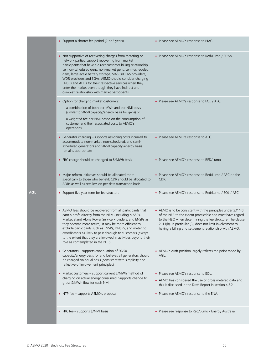|            | • Support a shorter fee period (2 or 3 years)                                                                                                                                                                                                                                                                                                                                                                                                                                                                                  | • Please see AEMO's response to PIAC.                                                                                                                                                                                                                                                                              |
|------------|--------------------------------------------------------------------------------------------------------------------------------------------------------------------------------------------------------------------------------------------------------------------------------------------------------------------------------------------------------------------------------------------------------------------------------------------------------------------------------------------------------------------------------|--------------------------------------------------------------------------------------------------------------------------------------------------------------------------------------------------------------------------------------------------------------------------------------------------------------------|
|            | • Not supportive of recovering charges from metering or<br>network parties; support recovering from market<br>participants that have a direct customer billing relationship<br>i.e. non-scheduled gens, non-market gens, semi-scheduled<br>gens, large-scale battery storage, MASPs/FCAS providers,<br>WDR providers and SGAs; AEMO should consider charging<br>ENSPs and ADRs for their respective services when they<br>enter the market even though they have indirect and<br>complex relationship with market participants | • Please see AEMO's response to Red/Lumo / EUAA.                                                                                                                                                                                                                                                                   |
|            | • Option for charging market customers:<br>- a combination of both per MWh and per NMI basis                                                                                                                                                                                                                                                                                                                                                                                                                                   | • Please see AEMO's response to EQL / AEC.                                                                                                                                                                                                                                                                         |
|            | (similar to 50/50 capacity/energy basis for gens) or                                                                                                                                                                                                                                                                                                                                                                                                                                                                           |                                                                                                                                                                                                                                                                                                                    |
|            | - a weighted fee per NMI based on the consumption of<br>customer and their associated costs to AEMO's<br>operations                                                                                                                                                                                                                                                                                                                                                                                                            |                                                                                                                                                                                                                                                                                                                    |
|            | • Generator charging - supports assigning costs incurred to<br>accommodate non-market, non-scheduled, and semi-<br>scheduled generators and 50/50 capacity-energy basis<br>remains appropriate                                                                                                                                                                                                                                                                                                                                 | • Please see AEMO's response to AEC.                                                                                                                                                                                                                                                                               |
|            | • FRC charge should be changed to \$/MWh basis                                                                                                                                                                                                                                                                                                                                                                                                                                                                                 | • Please see AEMO's response to RED/Lumo.                                                                                                                                                                                                                                                                          |
|            | • Major reform initiatives should be allocated more<br>specifically to those who benefit; CDR should be allocated to<br>ADRs as well as retailers on per data transaction basis                                                                                                                                                                                                                                                                                                                                                | • Please see AEMO's response to Red/Lumo / AEC on the<br>CDR.                                                                                                                                                                                                                                                      |
| <b>AGL</b> | • Support five year term for fee structure                                                                                                                                                                                                                                                                                                                                                                                                                                                                                     | • Please see AEMO's response to Red/Lumo / EQL / AEC.                                                                                                                                                                                                                                                              |
|            | • AEMO fees should be recovered from all participants that<br>earn a profit directly from the NEM (including MASPs,<br>Market Stand Alone Power Service Providers, and ENSPs as<br>they become more active). It may be more efficient to<br>exclude participants such as TNSPs, DNSPS, and metering<br>coordinators as likely to pass through to customers (except<br>to the extent that they are involved in activities beyond their<br>role as contemplated in the NER)                                                      | • AEMO is to be consistent with the principles under 2.11.1(b)<br>of the NER to the extent practicable and must have regard<br>to the NEO when determining the fee structure. The clause<br>2.11.1(b), in particular (3), does not limit involvement to<br>having a billing and settlement relationship with AEMO. |
|            | • Generators - supports continuation of 50/50<br>capacity/energy basis for and believes all generators should<br>be charged on equal basis (consistent with simplicity and<br>reflective of involvement principles)                                                                                                                                                                                                                                                                                                            | • AEMO's draft position largely reflects the point made by<br>AGL.                                                                                                                                                                                                                                                 |
|            | • Market customers - support current \$/MWh method of<br>charging on actual energy consumed. Supports change to<br>gross \$/MWh flow for each NMI                                                                                                                                                                                                                                                                                                                                                                              | • Please see AEMO's response to EQL.<br>• AEMO has considered the use of gross metered data and<br>this is discussed in the Draft Report in section 4.3.2.                                                                                                                                                         |
|            | • NTP fee - supports AEMO's proposal                                                                                                                                                                                                                                                                                                                                                                                                                                                                                           | • Please see AEMO's response to the ENA.                                                                                                                                                                                                                                                                           |
|            | • FRC fee – supports $\frac{5}{N}$ MMI basis                                                                                                                                                                                                                                                                                                                                                                                                                                                                                   | • Please see response to Red/Lumo / Energy Australia.                                                                                                                                                                                                                                                              |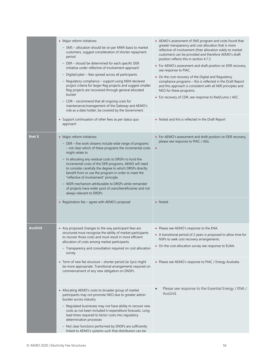|               | • Major reform initiatives:<br>- 5MS - allocation should be on per MWh basis to market<br>customers, suggest consideration of shorter repayment<br>period<br>- DER - should be determined for each specific DER<br>initiative under reflective of involvement approach<br>- Digital/cyber - fees spread across all participants<br>- Regulatory compliance - support using NEM declared<br>project criteria for larger Reg projects and suggest smaller<br>Reg projects are recovered through general allocated<br>bucket<br>- CDR - recommend that all ongoing costs for<br>maintenance/management of the Gateway and AEMO's<br>role as a data holder, be covered by the Government<br>• Support continuation of other fees as per status quo | • AEMO's assessment of 5MS program and costs found that<br>greater transparency and cost allocation that is more<br>reflective of involvement (than allocation solely to market<br>customers) can be provided and therefore AEMO's draft<br>position reflects this in section 4.7.3.<br>• For AEMO's assessment and draft position on DER recovery,<br>see response to PIAC.<br>• On the cost recovery of the Digital and Regulatory<br>compliance programs - this is reflected in the Draft Report<br>and this approach is consistent with all NER principles and<br>NEO for these programs.<br>• For recovery of CDR, see response to Red/Lumo / AEC.<br>• Noted and this is reflected in the Draft Report |
|---------------|------------------------------------------------------------------------------------------------------------------------------------------------------------------------------------------------------------------------------------------------------------------------------------------------------------------------------------------------------------------------------------------------------------------------------------------------------------------------------------------------------------------------------------------------------------------------------------------------------------------------------------------------------------------------------------------------------------------------------------------------|--------------------------------------------------------------------------------------------------------------------------------------------------------------------------------------------------------------------------------------------------------------------------------------------------------------------------------------------------------------------------------------------------------------------------------------------------------------------------------------------------------------------------------------------------------------------------------------------------------------------------------------------------------------------------------------------------------------|
|               | approach                                                                                                                                                                                                                                                                                                                                                                                                                                                                                                                                                                                                                                                                                                                                       |                                                                                                                                                                                                                                                                                                                                                                                                                                                                                                                                                                                                                                                                                                              |
| <b>Enel X</b> | • Major reform initiatives:<br>- DER - five work streams include wide range of programs<br>- not clear which of these programs the incremental costs<br>might relate to<br>- In allocating any residual costs to DRSPs to fund the<br>incremental costs of the DER programs, AEMO will need<br>to consider carefully the degree to which DRSPs directly<br>benefit from or use the program in order to meet the<br>"reflective of involvement" principle.<br>- WDR mechanism attributable to DRSPs while remainder<br>of projects have wider pool of users/beneficiaries and not<br>always relevant to DRSPs                                                                                                                                   | • For AEMO's assessment and draft position on DER recovery,<br>please see response to PIAC / AGL.<br>$\bullet$                                                                                                                                                                                                                                                                                                                                                                                                                                                                                                                                                                                               |
|               | • Registration fee - agree with AEMO's proposal                                                                                                                                                                                                                                                                                                                                                                                                                                                                                                                                                                                                                                                                                                | • Noted.                                                                                                                                                                                                                                                                                                                                                                                                                                                                                                                                                                                                                                                                                                     |
| AusGrid       | • Any proposed changes to the way participant fees are<br>structured must recognise the ability of market participants<br>to recover those costs and must result in more efficient<br>allocation of costs among market participants<br>- Transparency and consultation required on cost allocation<br>survey                                                                                                                                                                                                                                                                                                                                                                                                                                   | • Please see AEMO's response to the ENA.<br>• A transitional period of 2 years is proposed to allow time for<br>NSPs to seek cost recovery arrangements.<br>• On the cost allocation survey see response to EUAA.                                                                                                                                                                                                                                                                                                                                                                                                                                                                                            |
|               | • Term of new fee structure - shorter period (ie 3yrs) might<br>be more appropriate. Transitional arrangements required on<br>commencement of any new obligation on DNSPs                                                                                                                                                                                                                                                                                                                                                                                                                                                                                                                                                                      | • Please see AEMO's response to PIAC / Energy Australia.                                                                                                                                                                                                                                                                                                                                                                                                                                                                                                                                                                                                                                                     |
|               | • Allocating AEMO's costs to broader group of market<br>participants may not promote NEO due to greater admin<br>burden across industry<br>- Regulated businesses may not have ability to recover new<br>costs as not been included in expenditure forecasts. Long<br>lead times required to factor costs into regulatory<br>determination processes<br>- Not clear functions performed by DNSPs are sufficiently<br>linked to AEMO's systems such that distributors can be                                                                                                                                                                                                                                                                    | Please see response to the Essential Energy / ENA /<br>AusGrid.                                                                                                                                                                                                                                                                                                                                                                                                                                                                                                                                                                                                                                              |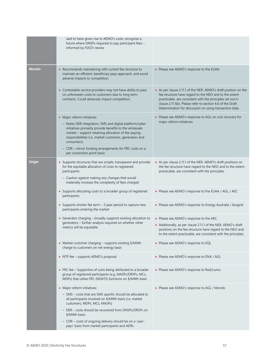|              | said to have given rise to AEMO's costs; recognise a<br>future where DNSPs required to pay participant fees -<br>informed by P2025 review                                                                                                                                                                                                                                 |                                                                                                                                                                                                                                                                                                                  |
|--------------|---------------------------------------------------------------------------------------------------------------------------------------------------------------------------------------------------------------------------------------------------------------------------------------------------------------------------------------------------------------------------|------------------------------------------------------------------------------------------------------------------------------------------------------------------------------------------------------------------------------------------------------------------------------------------------------------------|
| <b>Mondo</b> | • Recommends maintaining with current fee structure to<br>maintain an efficient, beneficiary pays approach, and avoid<br>adverse impacts to competition.                                                                                                                                                                                                                  | • Please see AEMO's response to the EUAA.                                                                                                                                                                                                                                                                        |
|              | • Contestable service providers may not have ability to pass<br>on unforeseen costs to customers due to long term<br>contracts. Could adversely impact competition.                                                                                                                                                                                                       | • As per clause 2.11.1 of the NER, AEMO's draft position on the<br>fee structure have regard to the NEO and to the extent<br>practicable, are consistent with the principles set out in<br>clause 2.11.1(b). Please refer to section 4.6 of the Draft<br>Determination for discussion on using transaction data. |
|              | • Major reform initiatives:<br>- Notes DER integration, 5MS and digital platform/cyber<br>initiatives primarily provide benefits to the wholesale<br>market - support retaining allocation of fee-paying<br>responsibilities (i.e. market customers, generators and<br>consumers)<br>- CDR - mirror funding arrangements for FRC costs on a<br>per connection point basis | • Please see AEMO's response to AGL on cost recovery for<br>major reform initiatives.                                                                                                                                                                                                                            |
| Origin       | • Supports structures that are simple, transparent and provide<br>for the equitable allocation of costs to registered<br>participants<br>- Caution against making any changes that would<br>materially increase the complexity of fees charged                                                                                                                            | • As per clause 2.11.1 of the NER, AEMO's draft positions on<br>the fee structure have regard to the NEO and to the extent<br>practicable, are consistent with the principles.                                                                                                                                   |
|              | • Supports allocating costs to a broader group of registered<br>participants                                                                                                                                                                                                                                                                                              | • Please see AEMO's response to the EUAA / AGL / AEC                                                                                                                                                                                                                                                             |
|              | • Supports shorter fee term $-3$ year period to capture new<br>participants entering the market                                                                                                                                                                                                                                                                           | • Please see AEMO's response to Energy Australia / Ausgrid                                                                                                                                                                                                                                                       |
|              | • Generator charging - broadly supports existing allocation to                                                                                                                                                                                                                                                                                                            | • Please see AEMO's response to the AEC.                                                                                                                                                                                                                                                                         |
|              | generators - further analysis required on whether other<br>metrics will be equitable                                                                                                                                                                                                                                                                                      | • Additionally, as per clause 2.11.1 of the NER, AEMO's draft<br>positions on the fee structure have regard to the NEO and<br>to the extent practicable, are consistent with the principles.                                                                                                                     |
|              | • Market customer charging - supports existing \$/MWh<br>charge to customers on net energy basis                                                                                                                                                                                                                                                                          | • Please see AEMO's response to EQL                                                                                                                                                                                                                                                                              |
|              | • NTP fee - supports AEMO's proposal                                                                                                                                                                                                                                                                                                                                      | • Please see AEMO's response to ENA / AGL                                                                                                                                                                                                                                                                        |
|              | • FRC fee – Supportive of costs being attributed to a broader<br>group of registered participants (e.g. MASPs/DRSPs, MCs,<br>MDPs) that utilise FRC (MSATS) functions on \$/MWh basis                                                                                                                                                                                     | • Please see AEMO's response to Red/Lumo                                                                                                                                                                                                                                                                         |
|              | • Major reform initiatives:<br>- 5MS - costs that are 5MS specific should be allocated to<br>all participants involved on \$/MWh basis (i.e. market<br>customers, MDPs, MCs, MASPs)                                                                                                                                                                                       | • Please see AEMO's response to AGL / Mondo                                                                                                                                                                                                                                                                      |
|              | - DER - costs should be recovered from DNSPs/DRSPs on<br>\$/MWh basis                                                                                                                                                                                                                                                                                                     |                                                                                                                                                                                                                                                                                                                  |
|              | - CDR - costs of ongoing delivery should be on a 'user-<br>pays' basis from market participants and ADRs                                                                                                                                                                                                                                                                  |                                                                                                                                                                                                                                                                                                                  |